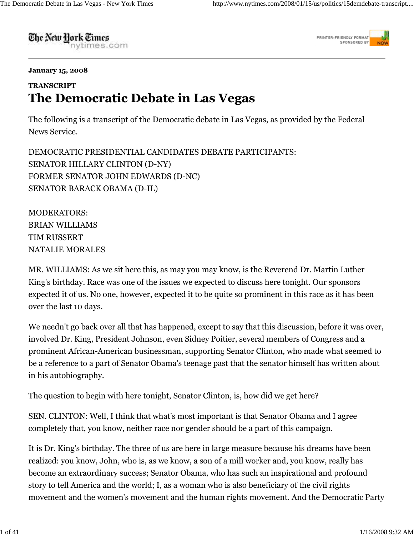The New Hork Times nytimes.com



January 15, 2008

# TRANSCRIPT The Democratic Debate in Las Vegas

The following is a transcript of the Democratic debate in Las Vegas, as provided by the Federal News Service.

DEMOCRATIC PRESIDENTIAL CANDIDATES DEBATE PARTICIPANTS: SENATOR HILLARY CLINTON (D-NY) FORMER SENATOR JOHN EDWARDS (D-NC) SENATOR BARACK OBAMA (D-IL)

MODERATORS: BRIAN WILLIAMS TIM RUSSERT NATALIE MORALES

MR. WILLIAMS: As we sit here this, as may you may know, is the Reverend Dr. Martin Luther King's birthday. Race was one of the issues we expected to discuss here tonight. Our sponsors expected it of us. No one, however, expected it to be quite so prominent in this race as it has been over the last 10 days.

We needn't go back over all that has happened, except to say that this discussion, before it was over, involved Dr. King, President Johnson, even Sidney Poitier, several members of Congress and a prominent African-American businessman, supporting Senator Clinton, who made what seemed to be a reference to a part of Senator Obama's teenage past that the senator himself has written about in his autobiography.

The question to begin with here tonight, Senator Clinton, is, how did we get here?

SEN. CLINTON: Well, I think that what's most important is that Senator Obama and I agree completely that, you know, neither race nor gender should be a part of this campaign.

It is Dr. King's birthday. The three of us are here in large measure because his dreams have been realized: you know, John, who is, as we know, a son of a mill worker and, you know, really has become an extraordinary success; Senator Obama, who has such an inspirational and profound story to tell America and the world; I, as a woman who is also beneficiary of the civil rights movement and the women's movement and the human rights movement. And the Democratic Party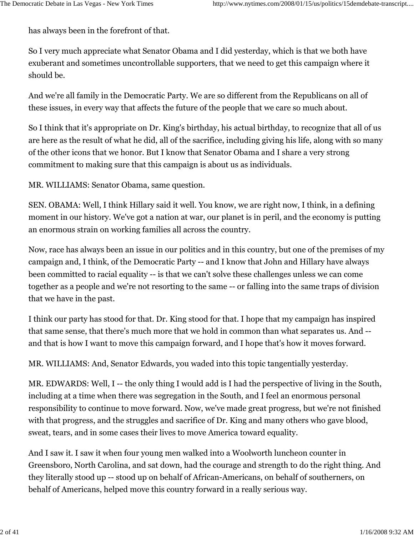has always been in the forefront of that.

So I very much appreciate what Senator Obama and I did yesterday, which is that we both have exuberant and sometimes uncontrollable supporters, that we need to get this campaign where it should be.

And we're all family in the Democratic Party. We are so different from the Republicans on all of these issues, in every way that affects the future of the people that we care so much about.

So I think that it's appropriate on Dr. King's birthday, his actual birthday, to recognize that all of us are here as the result of what he did, all of the sacrifice, including giving his life, along with so many of the other icons that we honor. But I know that Senator Obama and I share a very strong commitment to making sure that this campaign is about us as individuals.

MR. WILLIAMS: Senator Obama, same question.

SEN. OBAMA: Well, I think Hillary said it well. You know, we are right now, I think, in a defining moment in our history. We've got a nation at war, our planet is in peril, and the economy is putting an enormous strain on working families all across the country.

Now, race has always been an issue in our politics and in this country, but one of the premises of my campaign and, I think, of the Democratic Party -- and I know that John and Hillary have always been committed to racial equality -- is that we can't solve these challenges unless we can come together as a people and we're not resorting to the same -- or falling into the same traps of division that we have in the past.

I think our party has stood for that. Dr. King stood for that. I hope that my campaign has inspired that same sense, that there's much more that we hold in common than what separates us. And - and that is how I want to move this campaign forward, and I hope that's how it moves forward.

MR. WILLIAMS: And, Senator Edwards, you waded into this topic tangentially yesterday.

MR. EDWARDS: Well, I -- the only thing I would add is I had the perspective of living in the South, including at a time when there was segregation in the South, and I feel an enormous personal responsibility to continue to move forward. Now, we've made great progress, but we're not finished with that progress, and the struggles and sacrifice of Dr. King and many others who gave blood, sweat, tears, and in some cases their lives to move America toward equality.

And I saw it. I saw it when four young men walked into a Woolworth luncheon counter in Greensboro, North Carolina, and sat down, had the courage and strength to do the right thing. And they literally stood up -- stood up on behalf of African-Americans, on behalf of southerners, on behalf of Americans, helped move this country forward in a really serious way.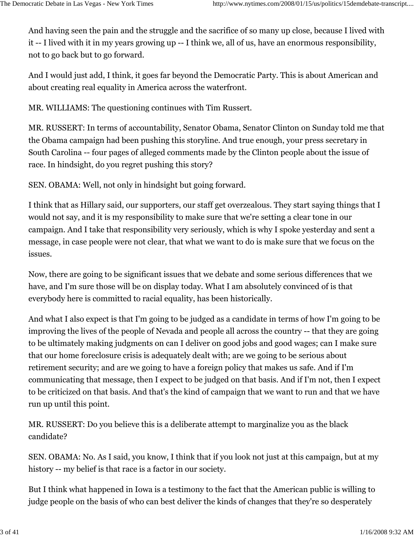And having seen the pain and the struggle and the sacrifice of so many up close, because I lived with it -- I lived with it in my years growing up -- I think we, all of us, have an enormous responsibility, not to go back but to go forward.

And I would just add, I think, it goes far beyond the Democratic Party. This is about American and about creating real equality in America across the waterfront.

MR. WILLIAMS: The questioning continues with Tim Russert.

MR. RUSSERT: In terms of accountability, Senator Obama, Senator Clinton on Sunday told me that the Obama campaign had been pushing this storyline. And true enough, your press secretary in South Carolina -- four pages of alleged comments made by the Clinton people about the issue of race. In hindsight, do you regret pushing this story?

SEN. OBAMA: Well, not only in hindsight but going forward.

I think that as Hillary said, our supporters, our staff get overzealous. They start saying things that I would not say, and it is my responsibility to make sure that we're setting a clear tone in our campaign. And I take that responsibility very seriously, which is why I spoke yesterday and sent a message, in case people were not clear, that what we want to do is make sure that we focus on the issues.

Now, there are going to be significant issues that we debate and some serious differences that we have, and I'm sure those will be on display today. What I am absolutely convinced of is that everybody here is committed to racial equality, has been historically.

And what I also expect is that I'm going to be judged as a candidate in terms of how I'm going to be improving the lives of the people of Nevada and people all across the country -- that they are going to be ultimately making judgments on can I deliver on good jobs and good wages; can I make sure that our home foreclosure crisis is adequately dealt with; are we going to be serious about retirement security; and are we going to have a foreign policy that makes us safe. And if I'm communicating that message, then I expect to be judged on that basis. And if I'm not, then I expect to be criticized on that basis. And that's the kind of campaign that we want to run and that we have run up until this point.

MR. RUSSERT: Do you believe this is a deliberate attempt to marginalize you as the black candidate?

SEN. OBAMA: No. As I said, you know, I think that if you look not just at this campaign, but at my history -- my belief is that race is a factor in our society.

But I think what happened in Iowa is a testimony to the fact that the American public is willing to judge people on the basis of who can best deliver the kinds of changes that they're so desperately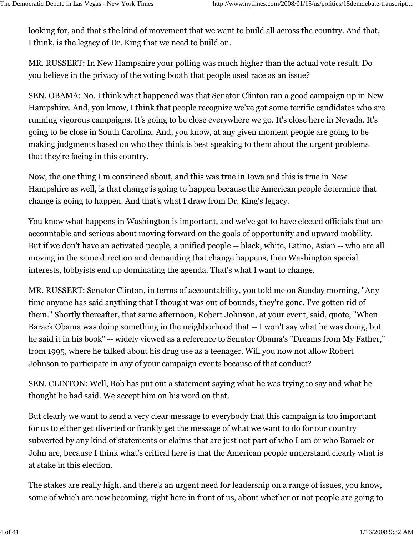looking for, and that's the kind of movement that we want to build all across the country. And that, I think, is the legacy of Dr. King that we need to build on.

MR. RUSSERT: In New Hampshire your polling was much higher than the actual vote result. Do you believe in the privacy of the voting booth that people used race as an issue?

SEN. OBAMA: No. I think what happened was that Senator Clinton ran a good campaign up in New Hampshire. And, you know, I think that people recognize we've got some terrific candidates who are running vigorous campaigns. It's going to be close everywhere we go. It's close here in Nevada. It's going to be close in South Carolina. And, you know, at any given moment people are going to be making judgments based on who they think is best speaking to them about the urgent problems that they're facing in this country.

Now, the one thing I'm convinced about, and this was true in Iowa and this is true in New Hampshire as well, is that change is going to happen because the American people determine that change is going to happen. And that's what I draw from Dr. King's legacy.

You know what happens in Washington is important, and we've got to have elected officials that are accountable and serious about moving forward on the goals of opportunity and upward mobility. But if we don't have an activated people, a unified people -- black, white, Latino, Asian -- who are all moving in the same direction and demanding that change happens, then Washington special interests, lobbyists end up dominating the agenda. That's what I want to change.

MR. RUSSERT: Senator Clinton, in terms of accountability, you told me on Sunday morning, "Any time anyone has said anything that I thought was out of bounds, they're gone. I've gotten rid of them." Shortly thereafter, that same afternoon, Robert Johnson, at your event, said, quote, "When Barack Obama was doing something in the neighborhood that -- I won't say what he was doing, but he said it in his book" -- widely viewed as a reference to Senator Obama's "Dreams from My Father," from 1995, where he talked about his drug use as a teenager. Will you now not allow Robert Johnson to participate in any of your campaign events because of that conduct?

SEN. CLINTON: Well, Bob has put out a statement saying what he was trying to say and what he thought he had said. We accept him on his word on that.

But clearly we want to send a very clear message to everybody that this campaign is too important for us to either get diverted or frankly get the message of what we want to do for our country subverted by any kind of statements or claims that are just not part of who I am or who Barack or John are, because I think what's critical here is that the American people understand clearly what is at stake in this election.

The stakes are really high, and there's an urgent need for leadership on a range of issues, you know, some of which are now becoming, right here in front of us, about whether or not people are going to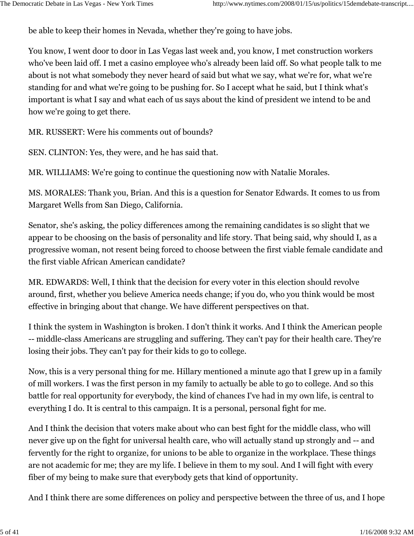be able to keep their homes in Nevada, whether they're going to have jobs.

You know, I went door to door in Las Vegas last week and, you know, I met construction workers who've been laid off. I met a casino employee who's already been laid off. So what people talk to me about is not what somebody they never heard of said but what we say, what we're for, what we're standing for and what we're going to be pushing for. So I accept what he said, but I think what's important is what I say and what each of us says about the kind of president we intend to be and how we're going to get there.

MR. RUSSERT: Were his comments out of bounds?

SEN. CLINTON: Yes, they were, and he has said that.

MR. WILLIAMS: We're going to continue the questioning now with Natalie Morales.

MS. MORALES: Thank you, Brian. And this is a question for Senator Edwards. It comes to us from Margaret Wells from San Diego, California.

Senator, she's asking, the policy differences among the remaining candidates is so slight that we appear to be choosing on the basis of personality and life story. That being said, why should I, as a progressive woman, not resent being forced to choose between the first viable female candidate and the first viable African American candidate?

MR. EDWARDS: Well, I think that the decision for every voter in this election should revolve around, first, whether you believe America needs change; if you do, who you think would be most effective in bringing about that change. We have different perspectives on that.

I think the system in Washington is broken. I don't think it works. And I think the American people -- middle-class Americans are struggling and suffering. They can't pay for their health care. They're losing their jobs. They can't pay for their kids to go to college.

Now, this is a very personal thing for me. Hillary mentioned a minute ago that I grew up in a family of mill workers. I was the first person in my family to actually be able to go to college. And so this battle for real opportunity for everybody, the kind of chances I've had in my own life, is central to everything I do. It is central to this campaign. It is a personal, personal fight for me.

And I think the decision that voters make about who can best fight for the middle class, who will never give up on the fight for universal health care, who will actually stand up strongly and -- and fervently for the right to organize, for unions to be able to organize in the workplace. These things are not academic for me; they are my life. I believe in them to my soul. And I will fight with every fiber of my being to make sure that everybody gets that kind of opportunity.

And I think there are some differences on policy and perspective between the three of us, and I hope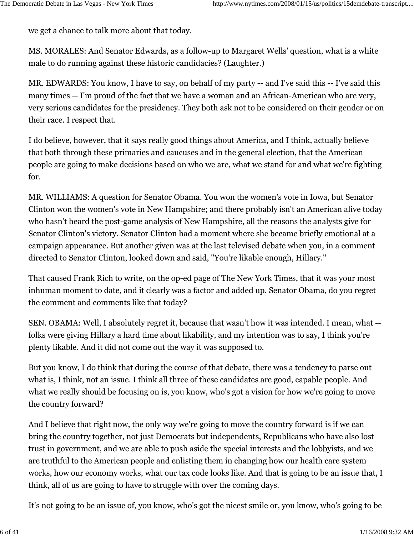we get a chance to talk more about that today.

MS. MORALES: And Senator Edwards, as a follow-up to Margaret Wells' question, what is a white male to do running against these historic candidacies? (Laughter.)

MR. EDWARDS: You know, I have to say, on behalf of my party -- and I've said this -- I've said this many times -- I'm proud of the fact that we have a woman and an African-American who are very, very serious candidates for the presidency. They both ask not to be considered on their gender or on their race. I respect that.

I do believe, however, that it says really good things about America, and I think, actually believe that both through these primaries and caucuses and in the general election, that the American people are going to make decisions based on who we are, what we stand for and what we're fighting for.

MR. WILLIAMS: A question for Senator Obama. You won the women's vote in Iowa, but Senator Clinton won the women's vote in New Hampshire; and there probably isn't an American alive today who hasn't heard the post-game analysis of New Hampshire, all the reasons the analysts give for Senator Clinton's victory. Senator Clinton had a moment where she became briefly emotional at a campaign appearance. But another given was at the last televised debate when you, in a comment directed to Senator Clinton, looked down and said, "You're likable enough, Hillary."

That caused Frank Rich to write, on the op-ed page of The New York Times, that it was your most inhuman moment to date, and it clearly was a factor and added up. Senator Obama, do you regret the comment and comments like that today?

SEN. OBAMA: Well, I absolutely regret it, because that wasn't how it was intended. I mean, what - folks were giving Hillary a hard time about likability, and my intention was to say, I think you're plenty likable. And it did not come out the way it was supposed to.

But you know, I do think that during the course of that debate, there was a tendency to parse out what is, I think, not an issue. I think all three of these candidates are good, capable people. And what we really should be focusing on is, you know, who's got a vision for how we're going to move the country forward?

And I believe that right now, the only way we're going to move the country forward is if we can bring the country together, not just Democrats but independents, Republicans who have also lost trust in government, and we are able to push aside the special interests and the lobbyists, and we are truthful to the American people and enlisting them in changing how our health care system works, how our economy works, what our tax code looks like. And that is going to be an issue that, I think, all of us are going to have to struggle with over the coming days.

It's not going to be an issue of, you know, who's got the nicest smile or, you know, who's going to be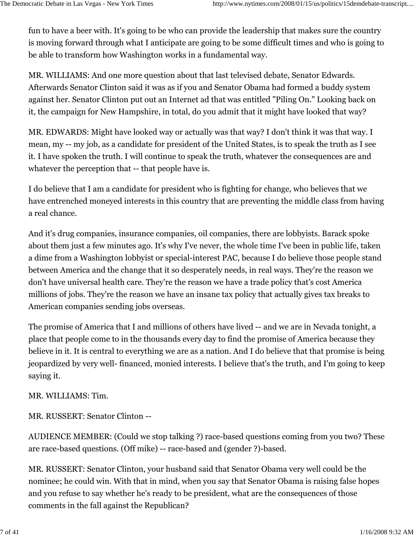fun to have a beer with. It's going to be who can provide the leadership that makes sure the country is moving forward through what I anticipate are going to be some difficult times and who is going to be able to transform how Washington works in a fundamental way.

MR. WILLIAMS: And one more question about that last televised debate, Senator Edwards. Afterwards Senator Clinton said it was as if you and Senator Obama had formed a buddy system against her. Senator Clinton put out an Internet ad that was entitled "Piling On." Looking back on it, the campaign for New Hampshire, in total, do you admit that it might have looked that way?

MR. EDWARDS: Might have looked way or actually was that way? I don't think it was that way. I mean, my -- my job, as a candidate for president of the United States, is to speak the truth as I see it. I have spoken the truth. I will continue to speak the truth, whatever the consequences are and whatever the perception that -- that people have is.

I do believe that I am a candidate for president who is fighting for change, who believes that we have entrenched moneyed interests in this country that are preventing the middle class from having a real chance.

And it's drug companies, insurance companies, oil companies, there are lobbyists. Barack spoke about them just a few minutes ago. It's why I've never, the whole time I've been in public life, taken a dime from a Washington lobbyist or special-interest PAC, because I do believe those people stand between America and the change that it so desperately needs, in real ways. They're the reason we don't have universal health care. They're the reason we have a trade policy that's cost America millions of jobs. They're the reason we have an insane tax policy that actually gives tax breaks to American companies sending jobs overseas.

The promise of America that I and millions of others have lived -- and we are in Nevada tonight, a place that people come to in the thousands every day to find the promise of America because they believe in it. It is central to everything we are as a nation. And I do believe that that promise is being jeopardized by very well- financed, monied interests. I believe that's the truth, and I'm going to keep saying it.

MR. WILLIAMS: Tim.

MR. RUSSERT: Senator Clinton --

AUDIENCE MEMBER: (Could we stop talking ?) race-based questions coming from you two? These are race-based questions. (Off mike) -- race-based and (gender ?)-based.

MR. RUSSERT: Senator Clinton, your husband said that Senator Obama very well could be the nominee; he could win. With that in mind, when you say that Senator Obama is raising false hopes and you refuse to say whether he's ready to be president, what are the consequences of those comments in the fall against the Republican?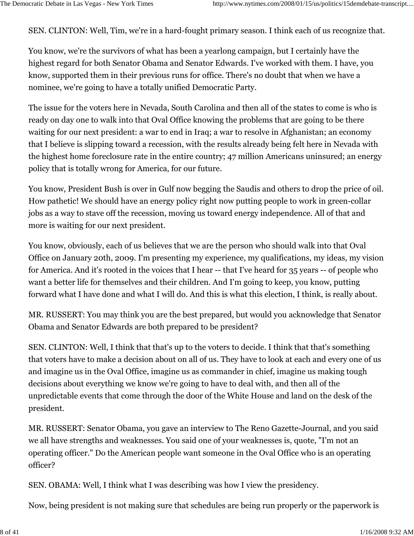SEN. CLINTON: Well, Tim, we're in a hard-fought primary season. I think each of us recognize that.

You know, we're the survivors of what has been a yearlong campaign, but I certainly have the highest regard for both Senator Obama and Senator Edwards. I've worked with them. I have, you know, supported them in their previous runs for office. There's no doubt that when we have a nominee, we're going to have a totally unified Democratic Party.

The issue for the voters here in Nevada, South Carolina and then all of the states to come is who is ready on day one to walk into that Oval Office knowing the problems that are going to be there waiting for our next president: a war to end in Iraq; a war to resolve in Afghanistan; an economy that I believe is slipping toward a recession, with the results already being felt here in Nevada with the highest home foreclosure rate in the entire country; 47 million Americans uninsured; an energy policy that is totally wrong for America, for our future.

You know, President Bush is over in Gulf now begging the Saudis and others to drop the price of oil. How pathetic! We should have an energy policy right now putting people to work in green-collar jobs as a way to stave off the recession, moving us toward energy independence. All of that and more is waiting for our next president.

You know, obviously, each of us believes that we are the person who should walk into that Oval Office on January 20th, 2009. I'm presenting my experience, my qualifications, my ideas, my vision for America. And it's rooted in the voices that I hear -- that I've heard for 35 years -- of people who want a better life for themselves and their children. And I'm going to keep, you know, putting forward what I have done and what I will do. And this is what this election, I think, is really about.

MR. RUSSERT: You may think you are the best prepared, but would you acknowledge that Senator Obama and Senator Edwards are both prepared to be president?

SEN. CLINTON: Well, I think that that's up to the voters to decide. I think that that's something that voters have to make a decision about on all of us. They have to look at each and every one of us and imagine us in the Oval Office, imagine us as commander in chief, imagine us making tough decisions about everything we know we're going to have to deal with, and then all of the unpredictable events that come through the door of the White House and land on the desk of the president.

MR. RUSSERT: Senator Obama, you gave an interview to The Reno Gazette-Journal, and you said we all have strengths and weaknesses. You said one of your weaknesses is, quote, "I'm not an operating officer." Do the American people want someone in the Oval Office who is an operating officer?

SEN. OBAMA: Well, I think what I was describing was how I view the presidency.

Now, being president is not making sure that schedules are being run properly or the paperwork is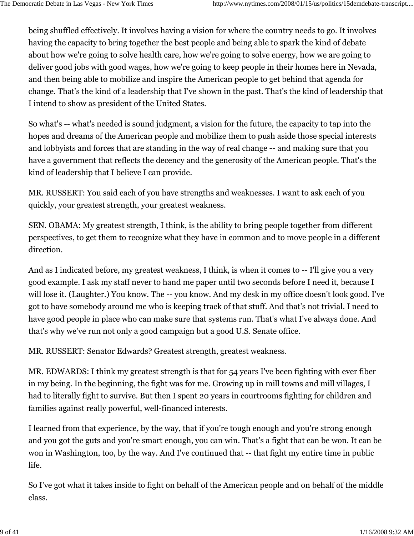being shuffled effectively. It involves having a vision for where the country needs to go. It involves having the capacity to bring together the best people and being able to spark the kind of debate about how we're going to solve health care, how we're going to solve energy, how we are going to deliver good jobs with good wages, how we're going to keep people in their homes here in Nevada, and then being able to mobilize and inspire the American people to get behind that agenda for change. That's the kind of a leadership that I've shown in the past. That's the kind of leadership that I intend to show as president of the United States.

So what's -- what's needed is sound judgment, a vision for the future, the capacity to tap into the hopes and dreams of the American people and mobilize them to push aside those special interests and lobbyists and forces that are standing in the way of real change -- and making sure that you have a government that reflects the decency and the generosity of the American people. That's the kind of leadership that I believe I can provide.

MR. RUSSERT: You said each of you have strengths and weaknesses. I want to ask each of you quickly, your greatest strength, your greatest weakness.

SEN. OBAMA: My greatest strength, I think, is the ability to bring people together from different perspectives, to get them to recognize what they have in common and to move people in a different direction.

And as I indicated before, my greatest weakness, I think, is when it comes to -- I'll give you a very good example. I ask my staff never to hand me paper until two seconds before I need it, because I will lose it. (Laughter.) You know. The -- you know. And my desk in my office doesn't look good. I've got to have somebody around me who is keeping track of that stuff. And that's not trivial. I need to have good people in place who can make sure that systems run. That's what I've always done. And that's why we've run not only a good campaign but a good U.S. Senate office.

MR. RUSSERT: Senator Edwards? Greatest strength, greatest weakness.

MR. EDWARDS: I think my greatest strength is that for 54 years I've been fighting with ever fiber in my being. In the beginning, the fight was for me. Growing up in mill towns and mill villages, I had to literally fight to survive. But then I spent 20 years in courtrooms fighting for children and families against really powerful, well-financed interests.

I learned from that experience, by the way, that if you're tough enough and you're strong enough and you got the guts and you're smart enough, you can win. That's a fight that can be won. It can be won in Washington, too, by the way. And I've continued that -- that fight my entire time in public life.

So I've got what it takes inside to fight on behalf of the American people and on behalf of the middle class.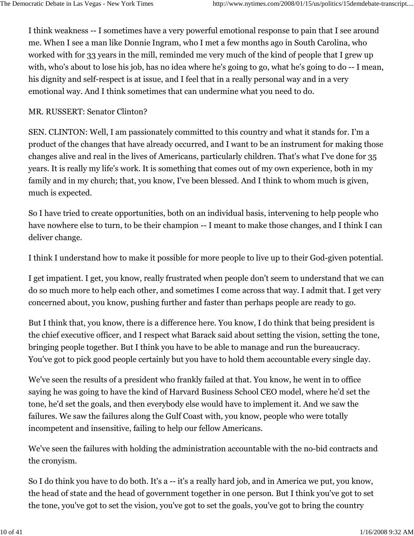I think weakness -- I sometimes have a very powerful emotional response to pain that I see around me. When I see a man like Donnie Ingram, who I met a few months ago in South Carolina, who worked with for 33 years in the mill, reminded me very much of the kind of people that I grew up with, who's about to lose his job, has no idea where he's going to go, what he's going to do -- I mean, his dignity and self-respect is at issue, and I feel that in a really personal way and in a very emotional way. And I think sometimes that can undermine what you need to do.

## MR. RUSSERT: Senator Clinton?

SEN. CLINTON: Well, I am passionately committed to this country and what it stands for. I'm a product of the changes that have already occurred, and I want to be an instrument for making those changes alive and real in the lives of Americans, particularly children. That's what I've done for 35 years. It is really my life's work. It is something that comes out of my own experience, both in my family and in my church; that, you know, I've been blessed. And I think to whom much is given, much is expected.

So I have tried to create opportunities, both on an individual basis, intervening to help people who have nowhere else to turn, to be their champion -- I meant to make those changes, and I think I can deliver change.

I think I understand how to make it possible for more people to live up to their God-given potential.

I get impatient. I get, you know, really frustrated when people don't seem to understand that we can do so much more to help each other, and sometimes I come across that way. I admit that. I get very concerned about, you know, pushing further and faster than perhaps people are ready to go.

But I think that, you know, there is a difference here. You know, I do think that being president is the chief executive officer, and I respect what Barack said about setting the vision, setting the tone, bringing people together. But I think you have to be able to manage and run the bureaucracy. You've got to pick good people certainly but you have to hold them accountable every single day.

We've seen the results of a president who frankly failed at that. You know, he went in to office saying he was going to have the kind of Harvard Business School CEO model, where he'd set the tone, he'd set the goals, and then everybody else would have to implement it. And we saw the failures. We saw the failures along the Gulf Coast with, you know, people who were totally incompetent and insensitive, failing to help our fellow Americans.

We've seen the failures with holding the administration accountable with the no-bid contracts and the cronyism.

So I do think you have to do both. It's a -- it's a really hard job, and in America we put, you know, the head of state and the head of government together in one person. But I think you've got to set the tone, you've got to set the vision, you've got to set the goals, you've got to bring the country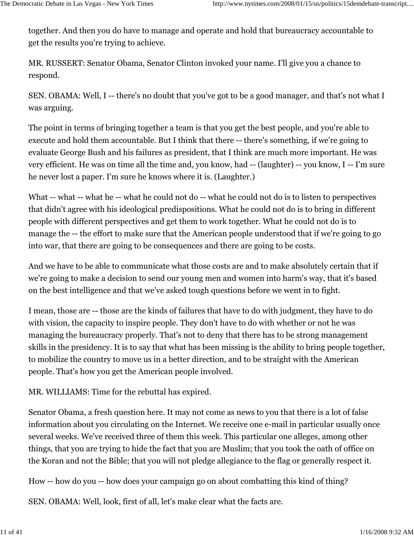together. And then you do have to manage and operate and hold that bureaucracy accountable to get the results you're trying to achieve.

MR. RUSSERT: Senator Obama, Senator Clinton invoked your name. I'll give you a chance to respond.

SEN. OBAMA: Well, I -- there's no doubt that you've got to be a good manager, and that's not what I was arguing.

The point in terms of bringing together a team is that you get the best people, and you're able to execute and hold them accountable. But I think that there -- there's something, if we're going to evaluate George Bush and his failures as president, that I think are much more important. He was very efficient. He was on time all the time and, you know, had -- (laughter) -- you know, I -- I'm sure he never lost a paper. I'm sure he knows where it is. (Laughter.)

What -- what -- what he -- what he could not do -- what he could not do is to listen to perspectives that didn't agree with his ideological predispositions. What he could not do is to bring in different people with different perspectives and get them to work together. What he could not do is to manage the -- the effort to make sure that the American people understood that if we're going to go into war, that there are going to be consequences and there are going to be costs.

And we have to be able to communicate what those costs are and to make absolutely certain that if we're going to make a decision to send our young men and women into harm's way, that it's based on the best intelligence and that we've asked tough questions before we went in to fight.

I mean, those are -- those are the kinds of failures that have to do with judgment, they have to do with vision, the capacity to inspire people. They don't have to do with whether or not he was managing the bureaucracy properly. That's not to deny that there has to be strong management skills in the presidency. It is to say that what has been missing is the ability to bring people together, to mobilize the country to move us in a better direction, and to be straight with the American people. That's how you get the American people involved.

MR. WILLIAMS: Time for the rebuttal has expired.

Senator Obama, a fresh question here. It may not come as news to you that there is a lot of false information about you circulating on the Internet. We receive one e-mail in particular usually once several weeks. We've received three of them this week. This particular one alleges, among other things, that you are trying to hide the fact that you are Muslim; that you took the oath of office on the Koran and not the Bible; that you will not pledge allegiance to the flag or generally respect it.

How -- how do you -- how does your campaign go on about combatting this kind of thing?

SEN. OBAMA: Well, look, first of all, let's make clear what the facts are.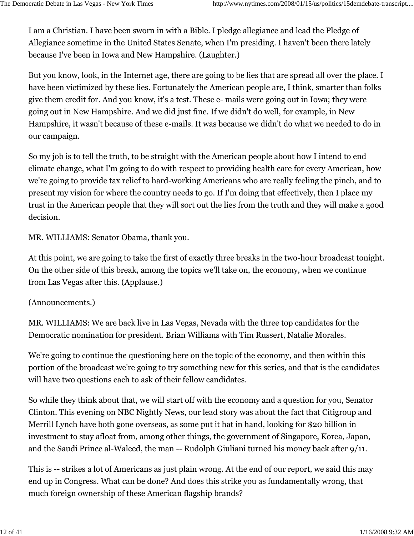I am a Christian. I have been sworn in with a Bible. I pledge allegiance and lead the Pledge of Allegiance sometime in the United States Senate, when I'm presiding. I haven't been there lately because I've been in Iowa and New Hampshire. (Laughter.)

But you know, look, in the Internet age, there are going to be lies that are spread all over the place. I have been victimized by these lies. Fortunately the American people are, I think, smarter than folks give them credit for. And you know, it's a test. These e- mails were going out in Iowa; they were going out in New Hampshire. And we did just fine. If we didn't do well, for example, in New Hampshire, it wasn't because of these e-mails. It was because we didn't do what we needed to do in our campaign.

So my job is to tell the truth, to be straight with the American people about how I intend to end climate change, what I'm going to do with respect to providing health care for every American, how we're going to provide tax relief to hard-working Americans who are really feeling the pinch, and to present my vision for where the country needs to go. If I'm doing that effectively, then I place my trust in the American people that they will sort out the lies from the truth and they will make a good decision.

MR. WILLIAMS: Senator Obama, thank you.

At this point, we are going to take the first of exactly three breaks in the two-hour broadcast tonight. On the other side of this break, among the topics we'll take on, the economy, when we continue from Las Vegas after this. (Applause.)

## (Announcements.)

MR. WILLIAMS: We are back live in Las Vegas, Nevada with the three top candidates for the Democratic nomination for president. Brian Williams with Tim Russert, Natalie Morales.

We're going to continue the questioning here on the topic of the economy, and then within this portion of the broadcast we're going to try something new for this series, and that is the candidates will have two questions each to ask of their fellow candidates.

So while they think about that, we will start off with the economy and a question for you, Senator Clinton. This evening on NBC Nightly News, our lead story was about the fact that Citigroup and Merrill Lynch have both gone overseas, as some put it hat in hand, looking for \$20 billion in investment to stay afloat from, among other things, the government of Singapore, Korea, Japan, and the Saudi Prince al-Waleed, the man -- Rudolph Giuliani turned his money back after 9/11.

This is -- strikes a lot of Americans as just plain wrong. At the end of our report, we said this may end up in Congress. What can be done? And does this strike you as fundamentally wrong, that much foreign ownership of these American flagship brands?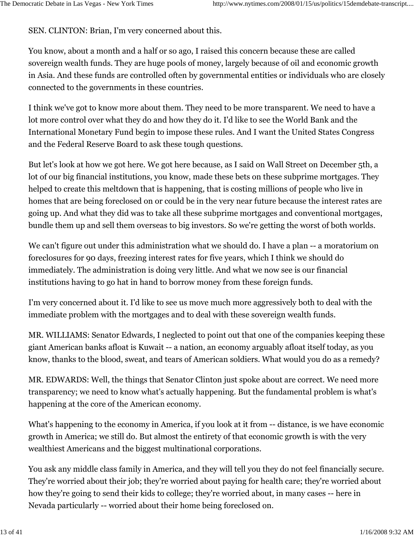SEN. CLINTON: Brian, I'm very concerned about this.

You know, about a month and a half or so ago, I raised this concern because these are called sovereign wealth funds. They are huge pools of money, largely because of oil and economic growth in Asia. And these funds are controlled often by governmental entities or individuals who are closely connected to the governments in these countries.

I think we've got to know more about them. They need to be more transparent. We need to have a lot more control over what they do and how they do it. I'd like to see the World Bank and the International Monetary Fund begin to impose these rules. And I want the United States Congress and the Federal Reserve Board to ask these tough questions.

But let's look at how we got here. We got here because, as I said on Wall Street on December 5th, a lot of our big financial institutions, you know, made these bets on these subprime mortgages. They helped to create this meltdown that is happening, that is costing millions of people who live in homes that are being foreclosed on or could be in the very near future because the interest rates are going up. And what they did was to take all these subprime mortgages and conventional mortgages, bundle them up and sell them overseas to big investors. So we're getting the worst of both worlds.

We can't figure out under this administration what we should do. I have a plan -- a moratorium on foreclosures for 90 days, freezing interest rates for five years, which I think we should do immediately. The administration is doing very little. And what we now see is our financial institutions having to go hat in hand to borrow money from these foreign funds.

I'm very concerned about it. I'd like to see us move much more aggressively both to deal with the immediate problem with the mortgages and to deal with these sovereign wealth funds.

MR. WILLIAMS: Senator Edwards, I neglected to point out that one of the companies keeping these giant American banks afloat is Kuwait -- a nation, an economy arguably afloat itself today, as you know, thanks to the blood, sweat, and tears of American soldiers. What would you do as a remedy?

MR. EDWARDS: Well, the things that Senator Clinton just spoke about are correct. We need more transparency; we need to know what's actually happening. But the fundamental problem is what's happening at the core of the American economy.

What's happening to the economy in America, if you look at it from -- distance, is we have economic growth in America; we still do. But almost the entirety of that economic growth is with the very wealthiest Americans and the biggest multinational corporations.

You ask any middle class family in America, and they will tell you they do not feel financially secure. They're worried about their job; they're worried about paying for health care; they're worried about how they're going to send their kids to college; they're worried about, in many cases -- here in Nevada particularly -- worried about their home being foreclosed on.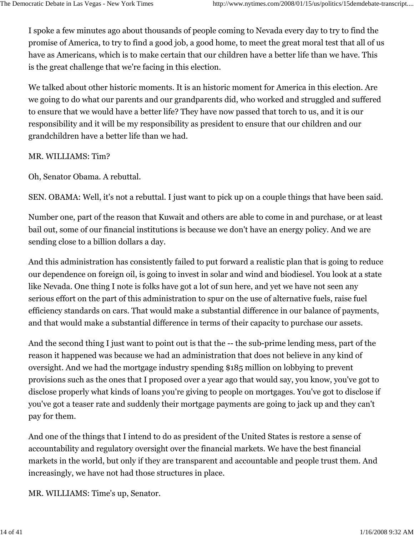I spoke a few minutes ago about thousands of people coming to Nevada every day to try to find the promise of America, to try to find a good job, a good home, to meet the great moral test that all of us have as Americans, which is to make certain that our children have a better life than we have. This is the great challenge that we're facing in this election.

We talked about other historic moments. It is an historic moment for America in this election. Are we going to do what our parents and our grandparents did, who worked and struggled and suffered to ensure that we would have a better life? They have now passed that torch to us, and it is our responsibility and it will be my responsibility as president to ensure that our children and our grandchildren have a better life than we had.

## MR. WILLIAMS: Tim?

Oh, Senator Obama. A rebuttal.

SEN. OBAMA: Well, it's not a rebuttal. I just want to pick up on a couple things that have been said.

Number one, part of the reason that Kuwait and others are able to come in and purchase, or at least bail out, some of our financial institutions is because we don't have an energy policy. And we are sending close to a billion dollars a day.

And this administration has consistently failed to put forward a realistic plan that is going to reduce our dependence on foreign oil, is going to invest in solar and wind and biodiesel. You look at a state like Nevada. One thing I note is folks have got a lot of sun here, and yet we have not seen any serious effort on the part of this administration to spur on the use of alternative fuels, raise fuel efficiency standards on cars. That would make a substantial difference in our balance of payments, and that would make a substantial difference in terms of their capacity to purchase our assets.

And the second thing I just want to point out is that the -- the sub-prime lending mess, part of the reason it happened was because we had an administration that does not believe in any kind of oversight. And we had the mortgage industry spending \$185 million on lobbying to prevent provisions such as the ones that I proposed over a year ago that would say, you know, you've got to disclose properly what kinds of loans you're giving to people on mortgages. You've got to disclose if you've got a teaser rate and suddenly their mortgage payments are going to jack up and they can't pay for them.

And one of the things that I intend to do as president of the United States is restore a sense of accountability and regulatory oversight over the financial markets. We have the best financial markets in the world, but only if they are transparent and accountable and people trust them. And increasingly, we have not had those structures in place.

MR. WILLIAMS: Time's up, Senator.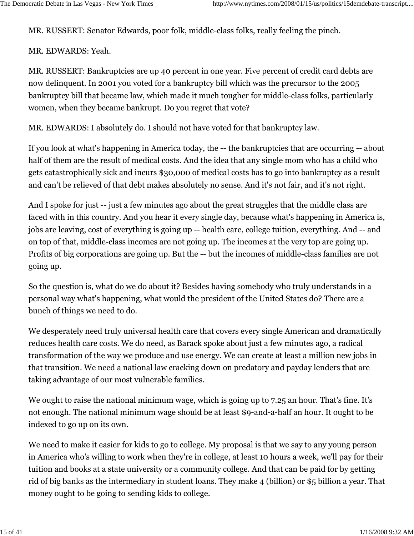MR. RUSSERT: Senator Edwards, poor folk, middle-class folks, really feeling the pinch.

MR. EDWARDS: Yeah.

MR. RUSSERT: Bankruptcies are up 40 percent in one year. Five percent of credit card debts are now delinquent. In 2001 you voted for a bankruptcy bill which was the precursor to the 2005 bankruptcy bill that became law, which made it much tougher for middle-class folks, particularly women, when they became bankrupt. Do you regret that vote?

MR. EDWARDS: I absolutely do. I should not have voted for that bankruptcy law.

If you look at what's happening in America today, the -- the bankruptcies that are occurring -- about half of them are the result of medical costs. And the idea that any single mom who has a child who gets catastrophically sick and incurs \$30,000 of medical costs has to go into bankruptcy as a result and can't be relieved of that debt makes absolutely no sense. And it's not fair, and it's not right.

And I spoke for just -- just a few minutes ago about the great struggles that the middle class are faced with in this country. And you hear it every single day, because what's happening in America is, jobs are leaving, cost of everything is going up -- health care, college tuition, everything. And -- and on top of that, middle-class incomes are not going up. The incomes at the very top are going up. Profits of big corporations are going up. But the -- but the incomes of middle-class families are not going up.

So the question is, what do we do about it? Besides having somebody who truly understands in a personal way what's happening, what would the president of the United States do? There are a bunch of things we need to do.

We desperately need truly universal health care that covers every single American and dramatically reduces health care costs. We do need, as Barack spoke about just a few minutes ago, a radical transformation of the way we produce and use energy. We can create at least a million new jobs in that transition. We need a national law cracking down on predatory and payday lenders that are taking advantage of our most vulnerable families.

We ought to raise the national minimum wage, which is going up to 7.25 an hour. That's fine. It's not enough. The national minimum wage should be at least \$9-and-a-half an hour. It ought to be indexed to go up on its own.

We need to make it easier for kids to go to college. My proposal is that we say to any young person in America who's willing to work when they're in college, at least 10 hours a week, we'll pay for their tuition and books at a state university or a community college. And that can be paid for by getting rid of big banks as the intermediary in student loans. They make 4 (billion) or \$5 billion a year. That money ought to be going to sending kids to college.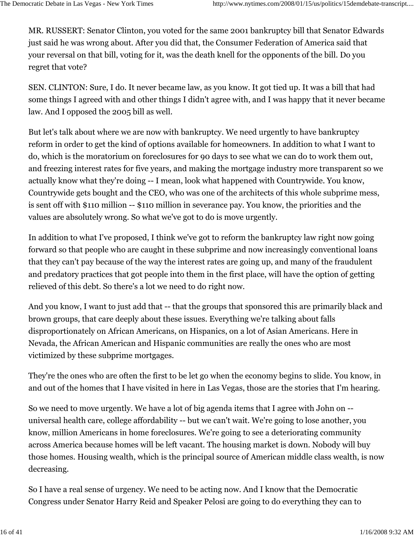MR. RUSSERT: Senator Clinton, you voted for the same 2001 bankruptcy bill that Senator Edwards just said he was wrong about. After you did that, the Consumer Federation of America said that your reversal on that bill, voting for it, was the death knell for the opponents of the bill. Do you regret that vote?

SEN. CLINTON: Sure, I do. It never became law, as you know. It got tied up. It was a bill that had some things I agreed with and other things I didn't agree with, and I was happy that it never became law. And I opposed the 2005 bill as well.

But let's talk about where we are now with bankruptcy. We need urgently to have bankruptcy reform in order to get the kind of options available for homeowners. In addition to what I want to do, which is the moratorium on foreclosures for 90 days to see what we can do to work them out, and freezing interest rates for five years, and making the mortgage industry more transparent so we actually know what they're doing -- I mean, look what happened with Countrywide. You know, Countrywide gets bought and the CEO, who was one of the architects of this whole subprime mess, is sent off with \$110 million -- \$110 million in severance pay. You know, the priorities and the values are absolutely wrong. So what we've got to do is move urgently.

In addition to what I've proposed, I think we've got to reform the bankruptcy law right now going forward so that people who are caught in these subprime and now increasingly conventional loans that they can't pay because of the way the interest rates are going up, and many of the fraudulent and predatory practices that got people into them in the first place, will have the option of getting relieved of this debt. So there's a lot we need to do right now.

And you know, I want to just add that -- that the groups that sponsored this are primarily black and brown groups, that care deeply about these issues. Everything we're talking about falls disproportionately on African Americans, on Hispanics, on a lot of Asian Americans. Here in Nevada, the African American and Hispanic communities are really the ones who are most victimized by these subprime mortgages.

They're the ones who are often the first to be let go when the economy begins to slide. You know, in and out of the homes that I have visited in here in Las Vegas, those are the stories that I'm hearing.

So we need to move urgently. We have a lot of big agenda items that I agree with John on - universal health care, college affordability -- but we can't wait. We're going to lose another, you know, million Americans in home foreclosures. We're going to see a deteriorating community across America because homes will be left vacant. The housing market is down. Nobody will buy those homes. Housing wealth, which is the principal source of American middle class wealth, is now decreasing.

So I have a real sense of urgency. We need to be acting now. And I know that the Democratic Congress under Senator Harry Reid and Speaker Pelosi are going to do everything they can to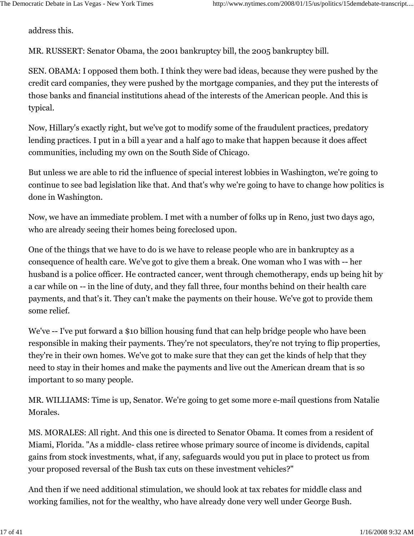address this.

MR. RUSSERT: Senator Obama, the 2001 bankruptcy bill, the 2005 bankruptcy bill.

SEN. OBAMA: I opposed them both. I think they were bad ideas, because they were pushed by the credit card companies, they were pushed by the mortgage companies, and they put the interests of those banks and financial institutions ahead of the interests of the American people. And this is typical.

Now, Hillary's exactly right, but we've got to modify some of the fraudulent practices, predatory lending practices. I put in a bill a year and a half ago to make that happen because it does affect communities, including my own on the South Side of Chicago.

But unless we are able to rid the influence of special interest lobbies in Washington, we're going to continue to see bad legislation like that. And that's why we're going to have to change how politics is done in Washington.

Now, we have an immediate problem. I met with a number of folks up in Reno, just two days ago, who are already seeing their homes being foreclosed upon.

One of the things that we have to do is we have to release people who are in bankruptcy as a consequence of health care. We've got to give them a break. One woman who I was with -- her husband is a police officer. He contracted cancer, went through chemotherapy, ends up being hit by a car while on -- in the line of duty, and they fall three, four months behind on their health care payments, and that's it. They can't make the payments on their house. We've got to provide them some relief.

We've -- I've put forward a \$10 billion housing fund that can help bridge people who have been responsible in making their payments. They're not speculators, they're not trying to flip properties, they're in their own homes. We've got to make sure that they can get the kinds of help that they need to stay in their homes and make the payments and live out the American dream that is so important to so many people.

MR. WILLIAMS: Time is up, Senator. We're going to get some more e-mail questions from Natalie Morales.

MS. MORALES: All right. And this one is directed to Senator Obama. It comes from a resident of Miami, Florida. "As a middle- class retiree whose primary source of income is dividends, capital gains from stock investments, what, if any, safeguards would you put in place to protect us from your proposed reversal of the Bush tax cuts on these investment vehicles?"

And then if we need additional stimulation, we should look at tax rebates for middle class and working families, not for the wealthy, who have already done very well under George Bush.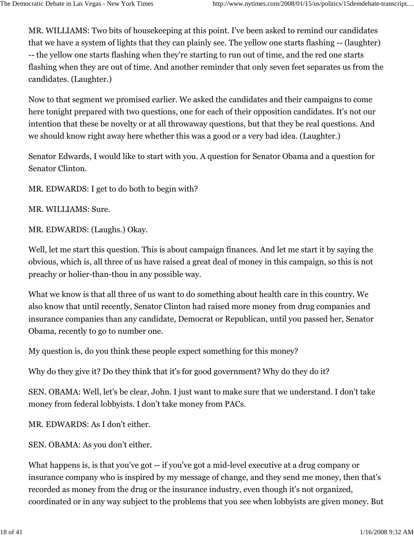MR. WILLIAMS: Two bits of housekeeping at this point. I've been asked to remind our candidates that we have a system of lights that they can plainly see. The yellow one starts flashing -- (laughter) -- the yellow one starts flashing when they're starting to run out of time, and the red one starts flashing when they are out of time. And another reminder that only seven feet separates us from the candidates. (Laughter.)

Now to that segment we promised earlier. We asked the candidates and their campaigns to come here tonight prepared with two questions, one for each of their opposition candidates. It's not our intention that these be novelty or at all throwaway questions, but that they be real questions. And we should know right away here whether this was a good or a very bad idea. (Laughter.)

Senator Edwards, I would like to start with you. A question for Senator Obama and a question for Senator Clinton.

MR. EDWARDS: I get to do both to begin with?

MR. WILLIAMS: Sure.

MR. EDWARDS: (Laughs.) Okay.

Well, let me start this question. This is about campaign finances. And let me start it by saying the obvious, which is, all three of us have raised a great deal of money in this campaign, so this is not preachy or holier-than-thou in any possible way.

What we know is that all three of us want to do something about health care in this country. We also know that until recently, Senator Clinton had raised more money from drug companies and insurance companies than any candidate, Democrat or Republican, until you passed her, Senator Obama, recently to go to number one.

My question is, do you think these people expect something for this money?

Why do they give it? Do they think that it's for good government? Why do they do it?

SEN. OBAMA: Well, let's be clear, John. I just want to make sure that we understand. I don't take money from federal lobbyists. I don't take money from PACs.

MR. EDWARDS: As I don't either.

SEN. OBAMA: As you don't either.

What happens is, is that you've got -- if you've got a mid-level executive at a drug company or insurance company who is inspired by my message of change, and they send me money, then that's recorded as money from the drug or the insurance industry, even though it's not organized, coordinated or in any way subject to the problems that you see when lobbyists are given money. But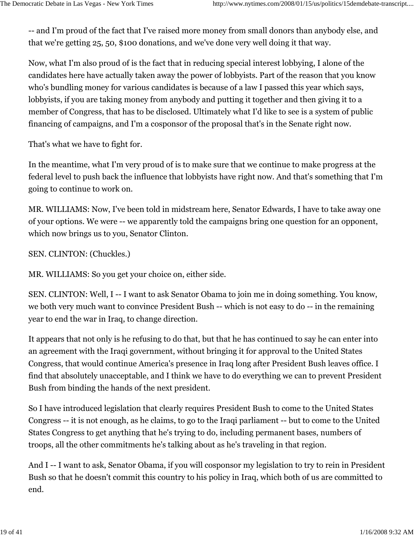-- and I'm proud of the fact that I've raised more money from small donors than anybody else, and that we're getting 25, 50, \$100 donations, and we've done very well doing it that way.

Now, what I'm also proud of is the fact that in reducing special interest lobbying, I alone of the candidates here have actually taken away the power of lobbyists. Part of the reason that you know who's bundling money for various candidates is because of a law I passed this year which says, lobbyists, if you are taking money from anybody and putting it together and then giving it to a member of Congress, that has to be disclosed. Ultimately what I'd like to see is a system of public financing of campaigns, and I'm a cosponsor of the proposal that's in the Senate right now.

That's what we have to fight for.

In the meantime, what I'm very proud of is to make sure that we continue to make progress at the federal level to push back the influence that lobbyists have right now. And that's something that I'm going to continue to work on.

MR. WILLIAMS: Now, I've been told in midstream here, Senator Edwards, I have to take away one of your options. We were -- we apparently told the campaigns bring one question for an opponent, which now brings us to you, Senator Clinton.

SEN. CLINTON: (Chuckles.)

MR. WILLIAMS: So you get your choice on, either side.

SEN. CLINTON: Well, I -- I want to ask Senator Obama to join me in doing something. You know, we both very much want to convince President Bush -- which is not easy to do -- in the remaining year to end the war in Iraq, to change direction.

It appears that not only is he refusing to do that, but that he has continued to say he can enter into an agreement with the Iraqi government, without bringing it for approval to the United States Congress, that would continue America's presence in Iraq long after President Bush leaves office. I find that absolutely unacceptable, and I think we have to do everything we can to prevent President Bush from binding the hands of the next president.

So I have introduced legislation that clearly requires President Bush to come to the United States Congress -- it is not enough, as he claims, to go to the Iraqi parliament -- but to come to the United States Congress to get anything that he's trying to do, including permanent bases, numbers of troops, all the other commitments he's talking about as he's traveling in that region.

And I -- I want to ask, Senator Obama, if you will cosponsor my legislation to try to rein in President Bush so that he doesn't commit this country to his policy in Iraq, which both of us are committed to end.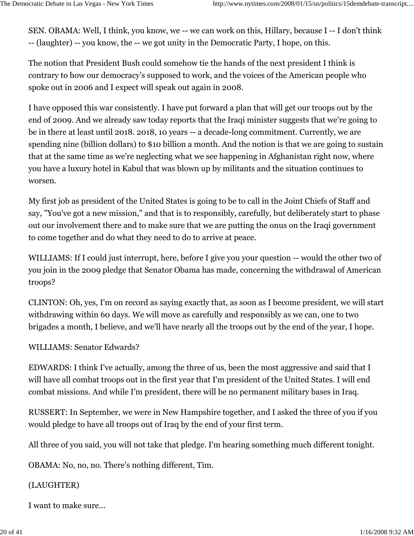SEN. OBAMA: Well, I think, you know, we -- we can work on this, Hillary, because I -- I don't think -- (laughter) -- you know, the -- we got unity in the Democratic Party, I hope, on this.

The notion that President Bush could somehow tie the hands of the next president I think is contrary to how our democracy's supposed to work, and the voices of the American people who spoke out in 2006 and I expect will speak out again in 2008.

I have opposed this war consistently. I have put forward a plan that will get our troops out by the end of 2009. And we already saw today reports that the Iraqi minister suggests that we're going to be in there at least until 2018. 2018, 10 years -- a decade-long commitment. Currently, we are spending nine (billion dollars) to \$10 billion a month. And the notion is that we are going to sustain that at the same time as we're neglecting what we see happening in Afghanistan right now, where you have a luxury hotel in Kabul that was blown up by militants and the situation continues to worsen.

My first job as president of the United States is going to be to call in the Joint Chiefs of Staff and say, "You've got a new mission," and that is to responsibly, carefully, but deliberately start to phase out our involvement there and to make sure that we are putting the onus on the Iraqi government to come together and do what they need to do to arrive at peace.

WILLIAMS: If I could just interrupt, here, before I give you your question -- would the other two of you join in the 2009 pledge that Senator Obama has made, concerning the withdrawal of American troops?

CLINTON: Oh, yes, I'm on record as saying exactly that, as soon as I become president, we will start withdrawing within 60 days. We will move as carefully and responsibly as we can, one to two brigades a month, I believe, and we'll have nearly all the troops out by the end of the year, I hope.

## WILLIAMS: Senator Edwards?

EDWARDS: I think I've actually, among the three of us, been the most aggressive and said that I will have all combat troops out in the first year that I'm president of the United States. I will end combat missions. And while I'm president, there will be no permanent military bases in Iraq.

RUSSERT: In September, we were in New Hampshire together, and I asked the three of you if you would pledge to have all troops out of Iraq by the end of your first term.

All three of you said, you will not take that pledge. I'm hearing something much different tonight.

OBAMA: No, no, no. There's nothing different, Tim.

## (LAUGHTER)

I want to make sure...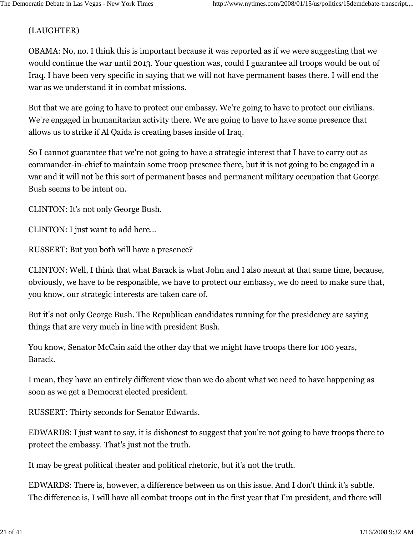## (LAUGHTER)

OBAMA: No, no. I think this is important because it was reported as if we were suggesting that we would continue the war until 2013. Your question was, could I guarantee all troops would be out of Iraq. I have been very specific in saying that we will not have permanent bases there. I will end the war as we understand it in combat missions.

But that we are going to have to protect our embassy. We're going to have to protect our civilians. We're engaged in humanitarian activity there. We are going to have to have some presence that allows us to strike if Al Qaida is creating bases inside of Iraq.

So I cannot guarantee that we're not going to have a strategic interest that I have to carry out as commander-in-chief to maintain some troop presence there, but it is not going to be engaged in a war and it will not be this sort of permanent bases and permanent military occupation that George Bush seems to be intent on.

CLINTON: It's not only George Bush.

CLINTON: I just want to add here...

RUSSERT: But you both will have a presence?

CLINTON: Well, I think that what Barack is what John and I also meant at that same time, because, obviously, we have to be responsible, we have to protect our embassy, we do need to make sure that, you know, our strategic interests are taken care of.

But it's not only George Bush. The Republican candidates running for the presidency are saying things that are very much in line with president Bush.

You know, Senator McCain said the other day that we might have troops there for 100 years, Barack.

I mean, they have an entirely different view than we do about what we need to have happening as soon as we get a Democrat elected president.

RUSSERT: Thirty seconds for Senator Edwards.

EDWARDS: I just want to say, it is dishonest to suggest that you're not going to have troops there to protect the embassy. That's just not the truth.

It may be great political theater and political rhetoric, but it's not the truth.

EDWARDS: There is, however, a difference between us on this issue. And I don't think it's subtle. The difference is, I will have all combat troops out in the first year that I'm president, and there will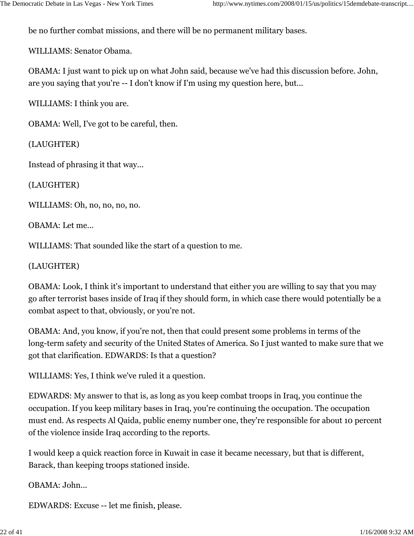be no further combat missions, and there will be no permanent military bases.

WILLIAMS: Senator Obama.

OBAMA: I just want to pick up on what John said, because we've had this discussion before. John, are you saying that you're -- I don't know if I'm using my question here, but...

WILLIAMS: I think you are.

OBAMA: Well, I've got to be careful, then.

(LAUGHTER)

Instead of phrasing it that way...

(LAUGHTER)

WILLIAMS: Oh, no, no, no, no.

OBAMA: Let me...

WILLIAMS: That sounded like the start of a question to me.

(LAUGHTER)

OBAMA: Look, I think it's important to understand that either you are willing to say that you may go after terrorist bases inside of Iraq if they should form, in which case there would potentially be a combat aspect to that, obviously, or you're not.

OBAMA: And, you know, if you're not, then that could present some problems in terms of the long-term safety and security of the United States of America. So I just wanted to make sure that we got that clarification. EDWARDS: Is that a question?

WILLIAMS: Yes, I think we've ruled it a question.

EDWARDS: My answer to that is, as long as you keep combat troops in Iraq, you continue the occupation. If you keep military bases in Iraq, you're continuing the occupation. The occupation must end. As respects Al Qaida, public enemy number one, they're responsible for about 10 percent of the violence inside Iraq according to the reports.

I would keep a quick reaction force in Kuwait in case it became necessary, but that is different, Barack, than keeping troops stationed inside.

OBAMA: John...

EDWARDS: Excuse -- let me finish, please.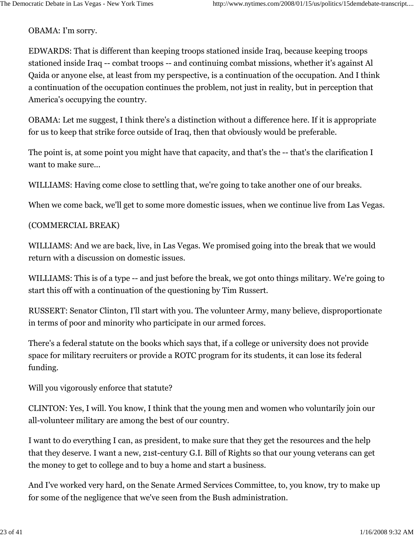OBAMA: I'm sorry.

EDWARDS: That is different than keeping troops stationed inside Iraq, because keeping troops stationed inside Iraq -- combat troops -- and continuing combat missions, whether it's against Al Qaida or anyone else, at least from my perspective, is a continuation of the occupation. And I think a continuation of the occupation continues the problem, not just in reality, but in perception that America's occupying the country.

OBAMA: Let me suggest, I think there's a distinction without a difference here. If it is appropriate for us to keep that strike force outside of Iraq, then that obviously would be preferable.

The point is, at some point you might have that capacity, and that's the -- that's the clarification I want to make sure...

WILLIAMS: Having come close to settling that, we're going to take another one of our breaks.

When we come back, we'll get to some more domestic issues, when we continue live from Las Vegas.

#### (COMMERCIAL BREAK)

WILLIAMS: And we are back, live, in Las Vegas. We promised going into the break that we would return with a discussion on domestic issues.

WILLIAMS: This is of a type -- and just before the break, we got onto things military. We're going to start this off with a continuation of the questioning by Tim Russert.

RUSSERT: Senator Clinton, I'll start with you. The volunteer Army, many believe, disproportionate in terms of poor and minority who participate in our armed forces.

There's a federal statute on the books which says that, if a college or university does not provide space for military recruiters or provide a ROTC program for its students, it can lose its federal funding.

Will you vigorously enforce that statute?

CLINTON: Yes, I will. You know, I think that the young men and women who voluntarily join our all-volunteer military are among the best of our country.

I want to do everything I can, as president, to make sure that they get the resources and the help that they deserve. I want a new, 21st-century G.I. Bill of Rights so that our young veterans can get the money to get to college and to buy a home and start a business.

And I've worked very hard, on the Senate Armed Services Committee, to, you know, try to make up for some of the negligence that we've seen from the Bush administration.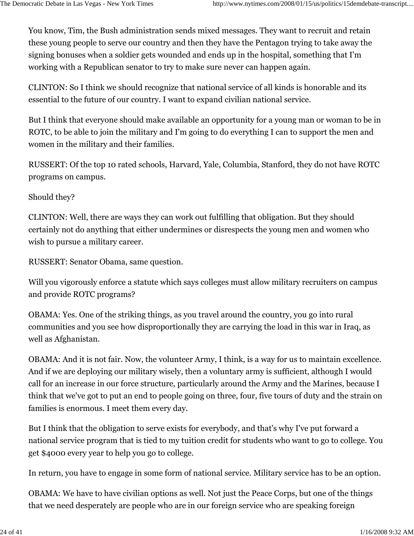You know, Tim, the Bush administration sends mixed messages. They want to recruit and retain these young people to serve our country and then they have the Pentagon trying to take away the signing bonuses when a soldier gets wounded and ends up in the hospital, something that I'm working with a Republican senator to try to make sure never can happen again.

CLINTON: So I think we should recognize that national service of all kinds is honorable and its essential to the future of our country. I want to expand civilian national service.

But I think that everyone should make available an opportunity for a young man or woman to be in ROTC, to be able to join the military and I'm going to do everything I can to support the men and women in the military and their families.

RUSSERT: Of the top 10 rated schools, Harvard, Yale, Columbia, Stanford, they do not have ROTC programs on campus.

## Should they?

CLINTON: Well, there are ways they can work out fulfilling that obligation. But they should certainly not do anything that either undermines or disrespects the young men and women who wish to pursue a military career.

RUSSERT: Senator Obama, same question.

Will you vigorously enforce a statute which says colleges must allow military recruiters on campus and provide ROTC programs?

OBAMA: Yes. One of the striking things, as you travel around the country, you go into rural communities and you see how disproportionally they are carrying the load in this war in Iraq, as well as Afghanistan.

OBAMA: And it is not fair. Now, the volunteer Army, I think, is a way for us to maintain excellence. And if we are deploying our military wisely, then a voluntary army is sufficient, although I would call for an increase in our force structure, particularly around the Army and the Marines, because I think that we've got to put an end to people going on three, four, five tours of duty and the strain on families is enormous. I meet them every day.

But I think that the obligation to serve exists for everybody, and that's why I've put forward a national service program that is tied to my tuition credit for students who want to go to college. You get \$4000 every year to help you go to college.

In return, you have to engage in some form of national service. Military service has to be an option.

OBAMA: We have to have civilian options as well. Not just the Peace Corps, but one of the things that we need desperately are people who are in our foreign service who are speaking foreign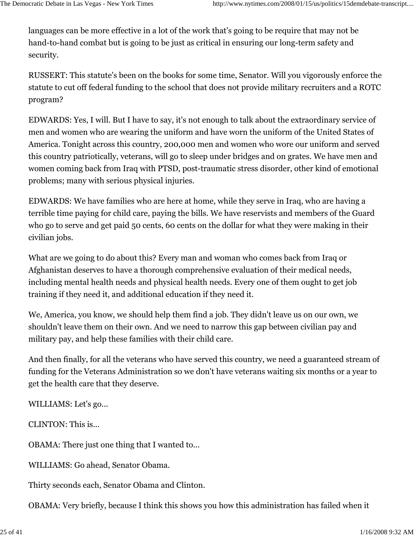languages can be more effective in a lot of the work that's going to be require that may not be hand-to-hand combat but is going to be just as critical in ensuring our long-term safety and security.

RUSSERT: This statute's been on the books for some time, Senator. Will you vigorously enforce the statute to cut off federal funding to the school that does not provide military recruiters and a ROTC program?

EDWARDS: Yes, I will. But I have to say, it's not enough to talk about the extraordinary service of men and women who are wearing the uniform and have worn the uniform of the United States of America. Tonight across this country, 200,000 men and women who wore our uniform and served this country patriotically, veterans, will go to sleep under bridges and on grates. We have men and women coming back from Iraq with PTSD, post-traumatic stress disorder, other kind of emotional problems; many with serious physical injuries.

EDWARDS: We have families who are here at home, while they serve in Iraq, who are having a terrible time paying for child care, paying the bills. We have reservists and members of the Guard who go to serve and get paid 50 cents, 60 cents on the dollar for what they were making in their civilian jobs.

What are we going to do about this? Every man and woman who comes back from Iraq or Afghanistan deserves to have a thorough comprehensive evaluation of their medical needs, including mental health needs and physical health needs. Every one of them ought to get job training if they need it, and additional education if they need it.

We, America, you know, we should help them find a job. They didn't leave us on our own, we shouldn't leave them on their own. And we need to narrow this gap between civilian pay and military pay, and help these families with their child care.

And then finally, for all the veterans who have served this country, we need a guaranteed stream of funding for the Veterans Administration so we don't have veterans waiting six months or a year to get the health care that they deserve.

WILLIAMS: Let's go...

CLINTON: This is...

OBAMA: There just one thing that I wanted to...

WILLIAMS: Go ahead, Senator Obama.

Thirty seconds each, Senator Obama and Clinton.

OBAMA: Very briefly, because I think this shows you how this administration has failed when it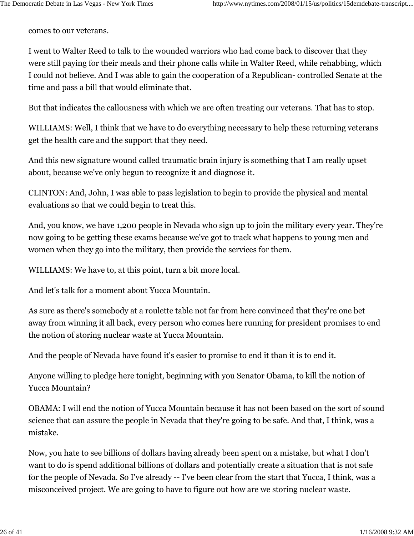comes to our veterans.

I went to Walter Reed to talk to the wounded warriors who had come back to discover that they were still paying for their meals and their phone calls while in Walter Reed, while rehabbing, which I could not believe. And I was able to gain the cooperation of a Republican- controlled Senate at the time and pass a bill that would eliminate that.

But that indicates the callousness with which we are often treating our veterans. That has to stop.

WILLIAMS: Well, I think that we have to do everything necessary to help these returning veterans get the health care and the support that they need.

And this new signature wound called traumatic brain injury is something that I am really upset about, because we've only begun to recognize it and diagnose it.

CLINTON: And, John, I was able to pass legislation to begin to provide the physical and mental evaluations so that we could begin to treat this.

And, you know, we have 1,200 people in Nevada who sign up to join the military every year. They're now going to be getting these exams because we've got to track what happens to young men and women when they go into the military, then provide the services for them.

WILLIAMS: We have to, at this point, turn a bit more local.

And let's talk for a moment about Yucca Mountain.

As sure as there's somebody at a roulette table not far from here convinced that they're one bet away from winning it all back, every person who comes here running for president promises to end the notion of storing nuclear waste at Yucca Mountain.

And the people of Nevada have found it's easier to promise to end it than it is to end it.

Anyone willing to pledge here tonight, beginning with you Senator Obama, to kill the notion of Yucca Mountain?

OBAMA: I will end the notion of Yucca Mountain because it has not been based on the sort of sound science that can assure the people in Nevada that they're going to be safe. And that, I think, was a mistake.

Now, you hate to see billions of dollars having already been spent on a mistake, but what I don't want to do is spend additional billions of dollars and potentially create a situation that is not safe for the people of Nevada. So I've already -- I've been clear from the start that Yucca, I think, was a misconceived project. We are going to have to figure out how are we storing nuclear waste.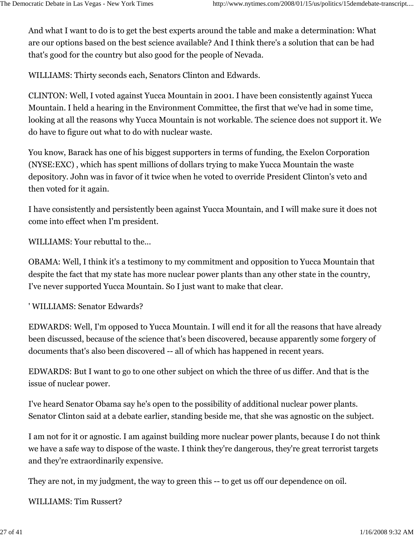And what I want to do is to get the best experts around the table and make a determination: What are our options based on the best science available? And I think there's a solution that can be had that's good for the country but also good for the people of Nevada.

WILLIAMS: Thirty seconds each, Senators Clinton and Edwards.

CLINTON: Well, I voted against Yucca Mountain in 2001. I have been consistently against Yucca Mountain. I held a hearing in the Environment Committee, the first that we've had in some time, looking at all the reasons why Yucca Mountain is not workable. The science does not support it. We do have to figure out what to do with nuclear waste.

You know, Barack has one of his biggest supporters in terms of funding, the Exelon Corporation (NYSE:EXC) , which has spent millions of dollars trying to make Yucca Mountain the waste depository. John was in favor of it twice when he voted to override President Clinton's veto and then voted for it again.

I have consistently and persistently been against Yucca Mountain, and I will make sure it does not come into effect when I'm president.

WILLIAMS: Your rebuttal to the...

OBAMA: Well, I think it's a testimony to my commitment and opposition to Yucca Mountain that despite the fact that my state has more nuclear power plants than any other state in the country, I've never supported Yucca Mountain. So I just want to make that clear.

' WILLIAMS: Senator Edwards?

EDWARDS: Well, I'm opposed to Yucca Mountain. I will end it for all the reasons that have already been discussed, because of the science that's been discovered, because apparently some forgery of documents that's also been discovered -- all of which has happened in recent years.

EDWARDS: But I want to go to one other subject on which the three of us differ. And that is the issue of nuclear power.

I've heard Senator Obama say he's open to the possibility of additional nuclear power plants. Senator Clinton said at a debate earlier, standing beside me, that she was agnostic on the subject.

I am not for it or agnostic. I am against building more nuclear power plants, because I do not think we have a safe way to dispose of the waste. I think they're dangerous, they're great terrorist targets and they're extraordinarily expensive.

They are not, in my judgment, the way to green this -- to get us off our dependence on oil.

WILLIAMS: Tim Russert?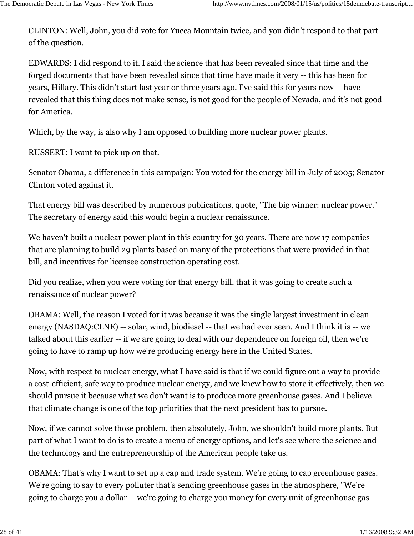CLINTON: Well, John, you did vote for Yucca Mountain twice, and you didn't respond to that part of the question.

EDWARDS: I did respond to it. I said the science that has been revealed since that time and the forged documents that have been revealed since that time have made it very -- this has been for years, Hillary. This didn't start last year or three years ago. I've said this for years now -- have revealed that this thing does not make sense, is not good for the people of Nevada, and it's not good for America.

Which, by the way, is also why I am opposed to building more nuclear power plants.

RUSSERT: I want to pick up on that.

Senator Obama, a difference in this campaign: You voted for the energy bill in July of 2005; Senator Clinton voted against it.

That energy bill was described by numerous publications, quote, "The big winner: nuclear power." The secretary of energy said this would begin a nuclear renaissance.

We haven't built a nuclear power plant in this country for 30 years. There are now 17 companies that are planning to build 29 plants based on many of the protections that were provided in that bill, and incentives for licensee construction operating cost.

Did you realize, when you were voting for that energy bill, that it was going to create such a renaissance of nuclear power?

OBAMA: Well, the reason I voted for it was because it was the single largest investment in clean energy (NASDAQ:CLNE) -- solar, wind, biodiesel -- that we had ever seen. And I think it is -- we talked about this earlier -- if we are going to deal with our dependence on foreign oil, then we're going to have to ramp up how we're producing energy here in the United States.

Now, with respect to nuclear energy, what I have said is that if we could figure out a way to provide a cost-efficient, safe way to produce nuclear energy, and we knew how to store it effectively, then we should pursue it because what we don't want is to produce more greenhouse gases. And I believe that climate change is one of the top priorities that the next president has to pursue.

Now, if we cannot solve those problem, then absolutely, John, we shouldn't build more plants. But part of what I want to do is to create a menu of energy options, and let's see where the science and the technology and the entrepreneurship of the American people take us.

OBAMA: That's why I want to set up a cap and trade system. We're going to cap greenhouse gases. We're going to say to every polluter that's sending greenhouse gases in the atmosphere, "We're going to charge you a dollar -- we're going to charge you money for every unit of greenhouse gas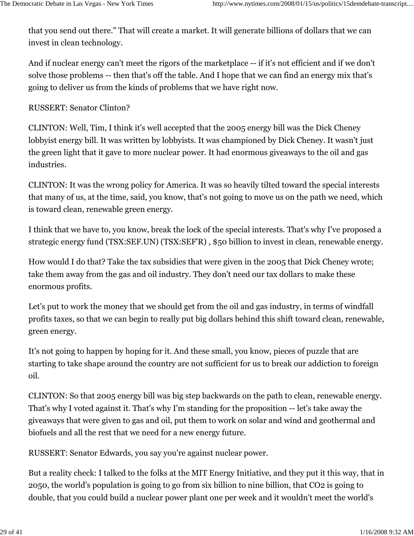that you send out there." That will create a market. It will generate billions of dollars that we can invest in clean technology.

And if nuclear energy can't meet the rigors of the marketplace -- if it's not efficient and if we don't solve those problems -- then that's off the table. And I hope that we can find an energy mix that's going to deliver us from the kinds of problems that we have right now.

RUSSERT: Senator Clinton?

CLINTON: Well, Tim, I think it's well accepted that the 2005 energy bill was the Dick Cheney lobbyist energy bill. It was written by lobbyists. It was championed by Dick Cheney. It wasn't just the green light that it gave to more nuclear power. It had enormous giveaways to the oil and gas industries.

CLINTON: It was the wrong policy for America. It was so heavily tilted toward the special interests that many of us, at the time, said, you know, that's not going to move us on the path we need, which is toward clean, renewable green energy.

I think that we have to, you know, break the lock of the special interests. That's why I've proposed a strategic energy fund (TSX:SEF.UN) (TSX:SEF'R) , \$50 billion to invest in clean, renewable energy.

How would I do that? Take the tax subsidies that were given in the 2005 that Dick Cheney wrote; take them away from the gas and oil industry. They don't need our tax dollars to make these enormous profits.

Let's put to work the money that we should get from the oil and gas industry, in terms of windfall profits taxes, so that we can begin to really put big dollars behind this shift toward clean, renewable, green energy.

It's not going to happen by hoping for it. And these small, you know, pieces of puzzle that are starting to take shape around the country are not sufficient for us to break our addiction to foreign oil.

CLINTON: So that 2005 energy bill was big step backwards on the path to clean, renewable energy. That's why I voted against it. That's why I'm standing for the proposition -- let's take away the giveaways that were given to gas and oil, put them to work on solar and wind and geothermal and biofuels and all the rest that we need for a new energy future.

RUSSERT: Senator Edwards, you say you're against nuclear power.

But a reality check: I talked to the folks at the MIT Energy Initiative, and they put it this way, that in 2050, the world's population is going to go from six billion to nine billion, that CO2 is going to double, that you could build a nuclear power plant one per week and it wouldn't meet the world's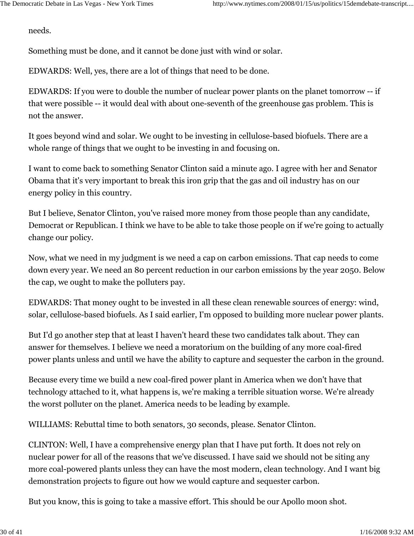needs.

Something must be done, and it cannot be done just with wind or solar.

EDWARDS: Well, yes, there are a lot of things that need to be done.

EDWARDS: If you were to double the number of nuclear power plants on the planet tomorrow -- if that were possible -- it would deal with about one-seventh of the greenhouse gas problem. This is not the answer.

It goes beyond wind and solar. We ought to be investing in cellulose-based biofuels. There are a whole range of things that we ought to be investing in and focusing on.

I want to come back to something Senator Clinton said a minute ago. I agree with her and Senator Obama that it's very important to break this iron grip that the gas and oil industry has on our energy policy in this country.

But I believe, Senator Clinton, you've raised more money from those people than any candidate, Democrat or Republican. I think we have to be able to take those people on if we're going to actually change our policy.

Now, what we need in my judgment is we need a cap on carbon emissions. That cap needs to come down every year. We need an 80 percent reduction in our carbon emissions by the year 2050. Below the cap, we ought to make the polluters pay.

EDWARDS: That money ought to be invested in all these clean renewable sources of energy: wind, solar, cellulose-based biofuels. As I said earlier, I'm opposed to building more nuclear power plants.

But I'd go another step that at least I haven't heard these two candidates talk about. They can answer for themselves. I believe we need a moratorium on the building of any more coal-fired power plants unless and until we have the ability to capture and sequester the carbon in the ground.

Because every time we build a new coal-fired power plant in America when we don't have that technology attached to it, what happens is, we're making a terrible situation worse. We're already the worst polluter on the planet. America needs to be leading by example.

WILLIAMS: Rebuttal time to both senators, 30 seconds, please. Senator Clinton.

CLINTON: Well, I have a comprehensive energy plan that I have put forth. It does not rely on nuclear power for all of the reasons that we've discussed. I have said we should not be siting any more coal-powered plants unless they can have the most modern, clean technology. And I want big demonstration projects to figure out how we would capture and sequester carbon.

But you know, this is going to take a massive effort. This should be our Apollo moon shot.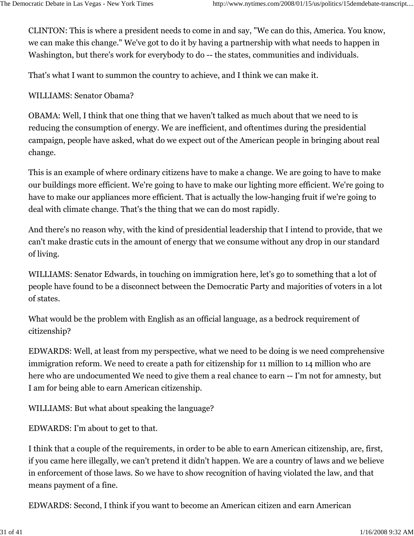CLINTON: This is where a president needs to come in and say, "We can do this, America. You know, we can make this change." We've got to do it by having a partnership with what needs to happen in Washington, but there's work for everybody to do -- the states, communities and individuals.

That's what I want to summon the country to achieve, and I think we can make it.

## WILLIAMS: Senator Obama?

OBAMA: Well, I think that one thing that we haven't talked as much about that we need to is reducing the consumption of energy. We are inefficient, and oftentimes during the presidential campaign, people have asked, what do we expect out of the American people in bringing about real change.

This is an example of where ordinary citizens have to make a change. We are going to have to make our buildings more efficient. We're going to have to make our lighting more efficient. We're going to have to make our appliances more efficient. That is actually the low-hanging fruit if we're going to deal with climate change. That's the thing that we can do most rapidly.

And there's no reason why, with the kind of presidential leadership that I intend to provide, that we can't make drastic cuts in the amount of energy that we consume without any drop in our standard of living.

WILLIAMS: Senator Edwards, in touching on immigration here, let's go to something that a lot of people have found to be a disconnect between the Democratic Party and majorities of voters in a lot of states.

What would be the problem with English as an official language, as a bedrock requirement of citizenship?

EDWARDS: Well, at least from my perspective, what we need to be doing is we need comprehensive immigration reform. We need to create a path for citizenship for 11 million to 14 million who are here who are undocumented We need to give them a real chance to earn -- I'm not for amnesty, but I am for being able to earn American citizenship.

WILLIAMS: But what about speaking the language?

EDWARDS: I'm about to get to that.

I think that a couple of the requirements, in order to be able to earn American citizenship, are, first, if you came here illegally, we can't pretend it didn't happen. We are a country of laws and we believe in enforcement of those laws. So we have to show recognition of having violated the law, and that means payment of a fine.

EDWARDS: Second, I think if you want to become an American citizen and earn American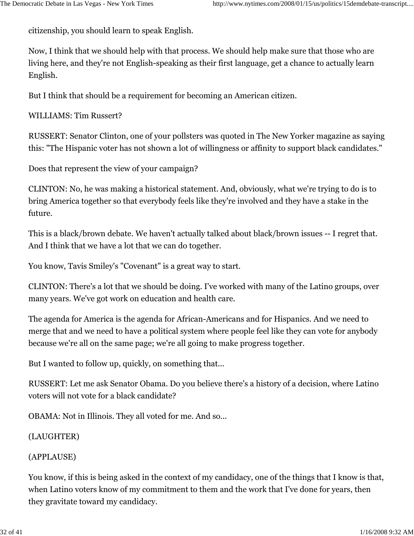citizenship, you should learn to speak English.

Now, I think that we should help with that process. We should help make sure that those who are living here, and they're not English-speaking as their first language, get a chance to actually learn English.

But I think that should be a requirement for becoming an American citizen.

WILLIAMS: Tim Russert?

RUSSERT: Senator Clinton, one of your pollsters was quoted in The New Yorker magazine as saying this: "The Hispanic voter has not shown a lot of willingness or affinity to support black candidates."

Does that represent the view of your campaign?

CLINTON: No, he was making a historical statement. And, obviously, what we're trying to do is to bring America together so that everybody feels like they're involved and they have a stake in the future.

This is a black/brown debate. We haven't actually talked about black/brown issues -- I regret that. And I think that we have a lot that we can do together.

You know, Tavis Smiley's "Covenant" is a great way to start.

CLINTON: There's a lot that we should be doing. I've worked with many of the Latino groups, over many years. We've got work on education and health care.

The agenda for America is the agenda for African-Americans and for Hispanics. And we need to merge that and we need to have a political system where people feel like they can vote for anybody because we're all on the same page; we're all going to make progress together.

But I wanted to follow up, quickly, on something that...

RUSSERT: Let me ask Senator Obama. Do you believe there's a history of a decision, where Latino voters will not vote for a black candidate?

OBAMA: Not in Illinois. They all voted for me. And so...

(LAUGHTER)

## (APPLAUSE)

You know, if this is being asked in the context of my candidacy, one of the things that I know is that, when Latino voters know of my commitment to them and the work that I've done for years, then they gravitate toward my candidacy.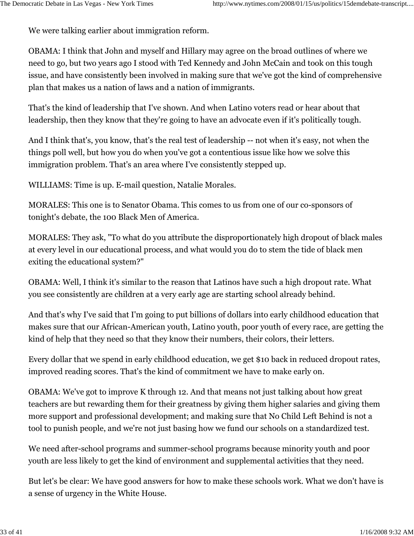We were talking earlier about immigration reform.

OBAMA: I think that John and myself and Hillary may agree on the broad outlines of where we need to go, but two years ago I stood with Ted Kennedy and John McCain and took on this tough issue, and have consistently been involved in making sure that we've got the kind of comprehensive plan that makes us a nation of laws and a nation of immigrants.

That's the kind of leadership that I've shown. And when Latino voters read or hear about that leadership, then they know that they're going to have an advocate even if it's politically tough.

And I think that's, you know, that's the real test of leadership -- not when it's easy, not when the things poll well, but how you do when you've got a contentious issue like how we solve this immigration problem. That's an area where I've consistently stepped up.

WILLIAMS: Time is up. E-mail question, Natalie Morales.

MORALES: This one is to Senator Obama. This comes to us from one of our co-sponsors of tonight's debate, the 100 Black Men of America.

MORALES: They ask, "To what do you attribute the disproportionately high dropout of black males at every level in our educational process, and what would you do to stem the tide of black men exiting the educational system?"

OBAMA: Well, I think it's similar to the reason that Latinos have such a high dropout rate. What you see consistently are children at a very early age are starting school already behind.

And that's why I've said that I'm going to put billions of dollars into early childhood education that makes sure that our African-American youth, Latino youth, poor youth of every race, are getting the kind of help that they need so that they know their numbers, their colors, their letters.

Every dollar that we spend in early childhood education, we get \$10 back in reduced dropout rates, improved reading scores. That's the kind of commitment we have to make early on.

OBAMA: We've got to improve K through 12. And that means not just talking about how great teachers are but rewarding them for their greatness by giving them higher salaries and giving them more support and professional development; and making sure that No Child Left Behind is not a tool to punish people, and we're not just basing how we fund our schools on a standardized test.

We need after-school programs and summer-school programs because minority youth and poor youth are less likely to get the kind of environment and supplemental activities that they need.

But let's be clear: We have good answers for how to make these schools work. What we don't have is a sense of urgency in the White House.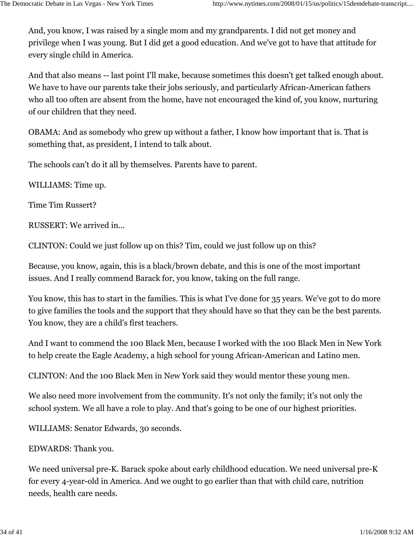And, you know, I was raised by a single mom and my grandparents. I did not get money and privilege when I was young. But I did get a good education. And we've got to have that attitude for every single child in America.

And that also means -- last point I'll make, because sometimes this doesn't get talked enough about. We have to have our parents take their jobs seriously, and particularly African-American fathers who all too often are absent from the home, have not encouraged the kind of, you know, nurturing of our children that they need.

OBAMA: And as somebody who grew up without a father, I know how important that is. That is something that, as president, I intend to talk about.

The schools can't do it all by themselves. Parents have to parent.

WILLIAMS: Time up.

Time Tim Russert?

RUSSERT: We arrived in...

CLINTON: Could we just follow up on this? Tim, could we just follow up on this?

Because, you know, again, this is a black/brown debate, and this is one of the most important issues. And I really commend Barack for, you know, taking on the full range.

You know, this has to start in the families. This is what I've done for 35 years. We've got to do more to give families the tools and the support that they should have so that they can be the best parents. You know, they are a child's first teachers.

And I want to commend the 100 Black Men, because I worked with the 100 Black Men in New York to help create the Eagle Academy, a high school for young African-American and Latino men.

CLINTON: And the 100 Black Men in New York said they would mentor these young men.

We also need more involvement from the community. It's not only the family; it's not only the school system. We all have a role to play. And that's going to be one of our highest priorities.

WILLIAMS: Senator Edwards, 30 seconds.

EDWARDS: Thank you.

We need universal pre-K. Barack spoke about early childhood education. We need universal pre-K for every 4-year-old in America. And we ought to go earlier than that with child care, nutrition needs, health care needs.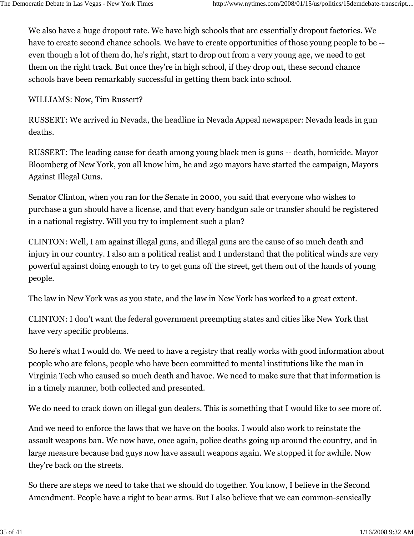We also have a huge dropout rate. We have high schools that are essentially dropout factories. We have to create second chance schools. We have to create opportunities of those young people to be -even though a lot of them do, he's right, start to drop out from a very young age, we need to get them on the right track. But once they're in high school, if they drop out, these second chance schools have been remarkably successful in getting them back into school.

## WILLIAMS: Now, Tim Russert?

RUSSERT: We arrived in Nevada, the headline in Nevada Appeal newspaper: Nevada leads in gun deaths.

RUSSERT: The leading cause for death among young black men is guns -- death, homicide. Mayor Bloomberg of New York, you all know him, he and 250 mayors have started the campaign, Mayors Against Illegal Guns.

Senator Clinton, when you ran for the Senate in 2000, you said that everyone who wishes to purchase a gun should have a license, and that every handgun sale or transfer should be registered in a national registry. Will you try to implement such a plan?

CLINTON: Well, I am against illegal guns, and illegal guns are the cause of so much death and injury in our country. I also am a political realist and I understand that the political winds are very powerful against doing enough to try to get guns off the street, get them out of the hands of young people.

The law in New York was as you state, and the law in New York has worked to a great extent.

CLINTON: I don't want the federal government preempting states and cities like New York that have very specific problems.

So here's what I would do. We need to have a registry that really works with good information about people who are felons, people who have been committed to mental institutions like the man in Virginia Tech who caused so much death and havoc. We need to make sure that that information is in a timely manner, both collected and presented.

We do need to crack down on illegal gun dealers. This is something that I would like to see more of.

And we need to enforce the laws that we have on the books. I would also work to reinstate the assault weapons ban. We now have, once again, police deaths going up around the country, and in large measure because bad guys now have assault weapons again. We stopped it for awhile. Now they're back on the streets.

So there are steps we need to take that we should do together. You know, I believe in the Second Amendment. People have a right to bear arms. But I also believe that we can common-sensically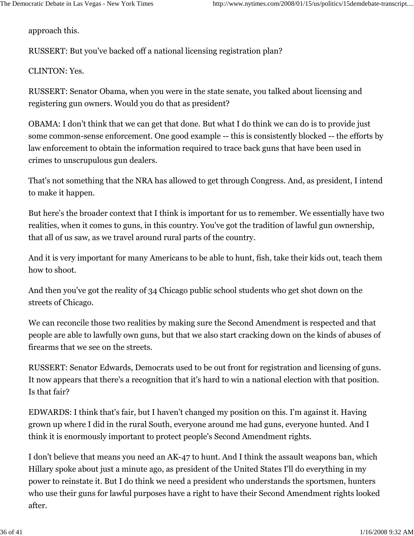approach this.

RUSSERT: But you've backed off a national licensing registration plan?

CLINTON: Yes.

RUSSERT: Senator Obama, when you were in the state senate, you talked about licensing and registering gun owners. Would you do that as president?

OBAMA: I don't think that we can get that done. But what I do think we can do is to provide just some common-sense enforcement. One good example -- this is consistently blocked -- the efforts by law enforcement to obtain the information required to trace back guns that have been used in crimes to unscrupulous gun dealers.

That's not something that the NRA has allowed to get through Congress. And, as president, I intend to make it happen.

But here's the broader context that I think is important for us to remember. We essentially have two realities, when it comes to guns, in this country. You've got the tradition of lawful gun ownership, that all of us saw, as we travel around rural parts of the country.

And it is very important for many Americans to be able to hunt, fish, take their kids out, teach them how to shoot.

And then you've got the reality of 34 Chicago public school students who get shot down on the streets of Chicago.

We can reconcile those two realities by making sure the Second Amendment is respected and that people are able to lawfully own guns, but that we also start cracking down on the kinds of abuses of firearms that we see on the streets.

RUSSERT: Senator Edwards, Democrats used to be out front for registration and licensing of guns. It now appears that there's a recognition that it's hard to win a national election with that position. Is that fair?

EDWARDS: I think that's fair, but I haven't changed my position on this. I'm against it. Having grown up where I did in the rural South, everyone around me had guns, everyone hunted. And I think it is enormously important to protect people's Second Amendment rights.

I don't believe that means you need an AK-47 to hunt. And I think the assault weapons ban, which Hillary spoke about just a minute ago, as president of the United States I'll do everything in my power to reinstate it. But I do think we need a president who understands the sportsmen, hunters who use their guns for lawful purposes have a right to have their Second Amendment rights looked after.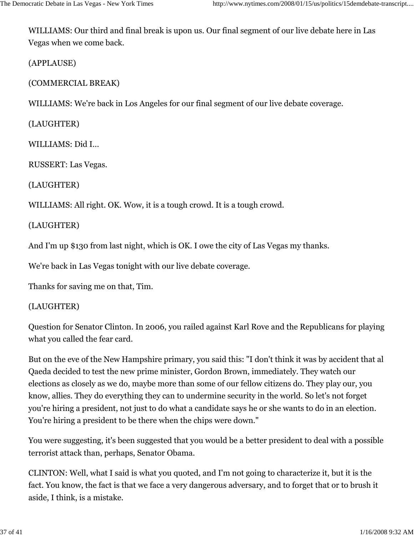WILLIAMS: Our third and final break is upon us. Our final segment of our live debate here in Las Vegas when we come back.

(APPLAUSE)

(COMMERCIAL BREAK)

WILLIAMS: We're back in Los Angeles for our final segment of our live debate coverage.

(LAUGHTER)

WILLIAMS: Did I...

RUSSERT: Las Vegas.

(LAUGHTER)

WILLIAMS: All right. OK. Wow, it is a tough crowd. It is a tough crowd.

(LAUGHTER)

And I'm up \$130 from last night, which is OK. I owe the city of Las Vegas my thanks.

We're back in Las Vegas tonight with our live debate coverage.

Thanks for saving me on that, Tim.

## (LAUGHTER)

Question for Senator Clinton. In 2006, you railed against Karl Rove and the Republicans for playing what you called the fear card.

But on the eve of the New Hampshire primary, you said this: "I don't think it was by accident that al Qaeda decided to test the new prime minister, Gordon Brown, immediately. They watch our elections as closely as we do, maybe more than some of our fellow citizens do. They play our, you know, allies. They do everything they can to undermine security in the world. So let's not forget you're hiring a president, not just to do what a candidate says he or she wants to do in an election. You're hiring a president to be there when the chips were down."

You were suggesting, it's been suggested that you would be a better president to deal with a possible terrorist attack than, perhaps, Senator Obama.

CLINTON: Well, what I said is what you quoted, and I'm not going to characterize it, but it is the fact. You know, the fact is that we face a very dangerous adversary, and to forget that or to brush it aside, I think, is a mistake.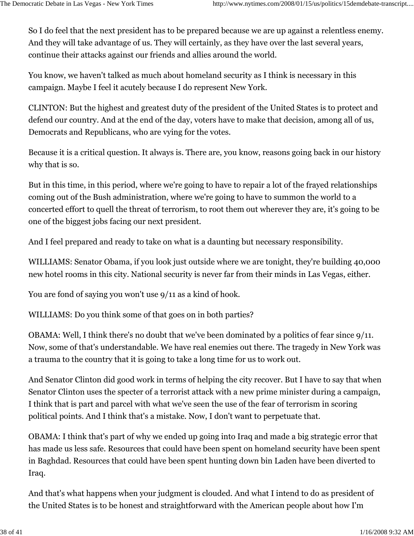So I do feel that the next president has to be prepared because we are up against a relentless enemy. And they will take advantage of us. They will certainly, as they have over the last several years, continue their attacks against our friends and allies around the world.

You know, we haven't talked as much about homeland security as I think is necessary in this campaign. Maybe I feel it acutely because I do represent New York.

CLINTON: But the highest and greatest duty of the president of the United States is to protect and defend our country. And at the end of the day, voters have to make that decision, among all of us, Democrats and Republicans, who are vying for the votes.

Because it is a critical question. It always is. There are, you know, reasons going back in our history why that is so.

But in this time, in this period, where we're going to have to repair a lot of the frayed relationships coming out of the Bush administration, where we're going to have to summon the world to a concerted effort to quell the threat of terrorism, to root them out wherever they are, it's going to be one of the biggest jobs facing our next president.

And I feel prepared and ready to take on what is a daunting but necessary responsibility.

WILLIAMS: Senator Obama, if you look just outside where we are tonight, they're building 40,000 new hotel rooms in this city. National security is never far from their minds in Las Vegas, either.

You are fond of saying you won't use 9/11 as a kind of hook.

WILLIAMS: Do you think some of that goes on in both parties?

OBAMA: Well, I think there's no doubt that we've been dominated by a politics of fear since 9/11. Now, some of that's understandable. We have real enemies out there. The tragedy in New York was a trauma to the country that it is going to take a long time for us to work out.

And Senator Clinton did good work in terms of helping the city recover. But I have to say that when Senator Clinton uses the specter of a terrorist attack with a new prime minister during a campaign, I think that is part and parcel with what we've seen the use of the fear of terrorism in scoring political points. And I think that's a mistake. Now, I don't want to perpetuate that.

OBAMA: I think that's part of why we ended up going into Iraq and made a big strategic error that has made us less safe. Resources that could have been spent on homeland security have been spent in Baghdad. Resources that could have been spent hunting down bin Laden have been diverted to Iraq.

And that's what happens when your judgment is clouded. And what I intend to do as president of the United States is to be honest and straightforward with the American people about how I'm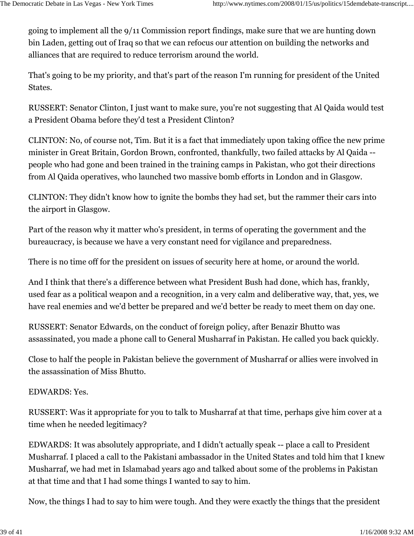going to implement all the 9/11 Commission report findings, make sure that we are hunting down bin Laden, getting out of Iraq so that we can refocus our attention on building the networks and alliances that are required to reduce terrorism around the world.

That's going to be my priority, and that's part of the reason I'm running for president of the United States.

RUSSERT: Senator Clinton, I just want to make sure, you're not suggesting that Al Qaida would test a President Obama before they'd test a President Clinton?

CLINTON: No, of course not, Tim. But it is a fact that immediately upon taking office the new prime minister in Great Britain, Gordon Brown, confronted, thankfully, two failed attacks by Al Qaida - people who had gone and been trained in the training camps in Pakistan, who got their directions from Al Qaida operatives, who launched two massive bomb efforts in London and in Glasgow.

CLINTON: They didn't know how to ignite the bombs they had set, but the rammer their cars into the airport in Glasgow.

Part of the reason why it matter who's president, in terms of operating the government and the bureaucracy, is because we have a very constant need for vigilance and preparedness.

There is no time off for the president on issues of security here at home, or around the world.

And I think that there's a difference between what President Bush had done, which has, frankly, used fear as a political weapon and a recognition, in a very calm and deliberative way, that, yes, we have real enemies and we'd better be prepared and we'd better be ready to meet them on day one.

RUSSERT: Senator Edwards, on the conduct of foreign policy, after Benazir Bhutto was assassinated, you made a phone call to General Musharraf in Pakistan. He called you back quickly.

Close to half the people in Pakistan believe the government of Musharraf or allies were involved in the assassination of Miss Bhutto.

## EDWARDS: Yes.

RUSSERT: Was it appropriate for you to talk to Musharraf at that time, perhaps give him cover at a time when he needed legitimacy?

EDWARDS: It was absolutely appropriate, and I didn't actually speak -- place a call to President Musharraf. I placed a call to the Pakistani ambassador in the United States and told him that I knew Musharraf, we had met in Islamabad years ago and talked about some of the problems in Pakistan at that time and that I had some things I wanted to say to him.

Now, the things I had to say to him were tough. And they were exactly the things that the president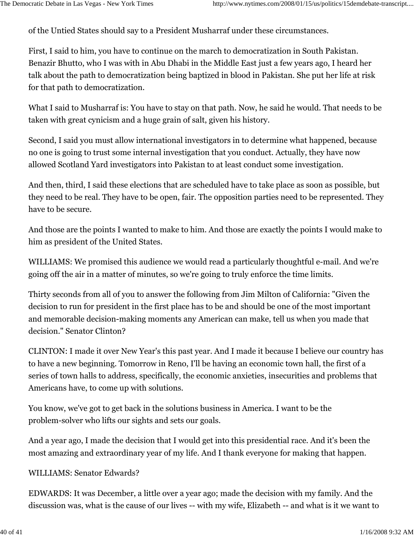of the Untied States should say to a President Musharraf under these circumstances.

First, I said to him, you have to continue on the march to democratization in South Pakistan. Benazir Bhutto, who I was with in Abu Dhabi in the Middle East just a few years ago, I heard her talk about the path to democratization being baptized in blood in Pakistan. She put her life at risk for that path to democratization.

What I said to Musharraf is: You have to stay on that path. Now, he said he would. That needs to be taken with great cynicism and a huge grain of salt, given his history.

Second, I said you must allow international investigators in to determine what happened, because no one is going to trust some internal investigation that you conduct. Actually, they have now allowed Scotland Yard investigators into Pakistan to at least conduct some investigation.

And then, third, I said these elections that are scheduled have to take place as soon as possible, but they need to be real. They have to be open, fair. The opposition parties need to be represented. They have to be secure.

And those are the points I wanted to make to him. And those are exactly the points I would make to him as president of the United States.

WILLIAMS: We promised this audience we would read a particularly thoughtful e-mail. And we're going off the air in a matter of minutes, so we're going to truly enforce the time limits.

Thirty seconds from all of you to answer the following from Jim Milton of California: "Given the decision to run for president in the first place has to be and should be one of the most important and memorable decision-making moments any American can make, tell us when you made that decision." Senator Clinton?

CLINTON: I made it over New Year's this past year. And I made it because I believe our country has to have a new beginning. Tomorrow in Reno, I'll be having an economic town hall, the first of a series of town halls to address, specifically, the economic anxieties, insecurities and problems that Americans have, to come up with solutions.

You know, we've got to get back in the solutions business in America. I want to be the problem-solver who lifts our sights and sets our goals.

And a year ago, I made the decision that I would get into this presidential race. And it's been the most amazing and extraordinary year of my life. And I thank everyone for making that happen.

WILLIAMS: Senator Edwards?

EDWARDS: It was December, a little over a year ago; made the decision with my family. And the discussion was, what is the cause of our lives -- with my wife, Elizabeth -- and what is it we want to